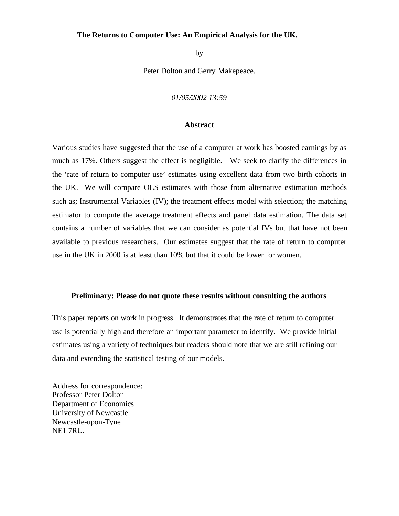## **The Returns to Computer Use: An Empirical Analysis for the UK.**

by

Peter Dolton and Gerry Makepeace.

*01/05/2002 13:59*

## **Abstract**

Various studies have suggested that the use of a computer at work has boosted earnings by as much as 17%. Others suggest the effect is negligible. We seek to clarify the differences in the 'rate of return to computer use' estimates using excellent data from two birth cohorts in the UK. We will compare OLS estimates with those from alternative estimation methods such as; Instrumental Variables (IV); the treatment effects model with selection; the matching estimator to compute the average treatment effects and panel data estimation. The data set contains a number of variables that we can consider as potential IVs but that have not been available to previous researchers. Our estimates suggest that the rate of return to computer use in the UK in 2000 is at least than 10% but that it could be lower for women.

## **Preliminary: Please do not quote these results without consulting the authors**

This paper reports on work in progress. It demonstrates that the rate of return to computer use is potentially high and therefore an important parameter to identify. We provide initial estimates using a variety of techniques but readers should note that we are still refining our data and extending the statistical testing of our models.

Address for correspondence: Professor Peter Dolton Department of Economics University of Newcastle Newcastle-upon-Tyne NE1 7RU.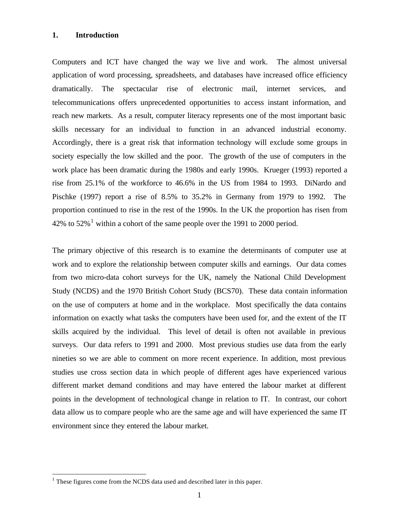## **1. Introduction**

Computers and ICT have changed the way we live and work. The almost universal application of word processing, spreadsheets, and databases have increased office efficiency dramatically. The spectacular rise of electronic mail, internet services, and telecommunications offers unprecedented opportunities to access instant information, and reach new markets. As a result, computer literacy represents one of the most important basic skills necessary for an individual to function in an advanced industrial economy. Accordingly, there is a great risk that information technology will exclude some groups in society especially the low skilled and the poor. The growth of the use of computers in the work place has been dramatic during the 1980s and early 1990s. Krueger (1993) reported a rise from 25.1% of the workforce to 46.6% in the US from 1984 to 1993. DiNardo and Pischke (1997) report a rise of 8.5% to 35.2% in Germany from 1979 to 1992. The proportion continued to rise in the rest of the 1990s. In the UK the proportion has risen from 42% to  $52\%$ <sup>1</sup> within a cohort of the same people over the 1991 to 2000 period.

The primary objective of this research is to examine the determinants of computer use at work and to explore the relationship between computer skills and earnings. Our data comes from two micro-data cohort surveys for the UK, namely the National Child Development Study (NCDS) and the 1970 British Cohort Study (BCS70). These data contain information on the use of computers at home and in the workplace. Most specifically the data contains information on exactly what tasks the computers have been used for, and the extent of the IT skills acquired by the individual. This level of detail is often not available in previous surveys. Our data refers to 1991 and 2000. Most previous studies use data from the early nineties so we are able to comment on more recent experience. In addition, most previous studies use cross section data in which people of different ages have experienced various different market demand conditions and may have entered the labour market at different points in the development of technological change in relation to IT. In contrast, our cohort data allow us to compare people who are the same age and will have experienced the same IT environment since they entered the labour market.

 $\overline{a}$ 

 $1$  These figures come from the NCDS data used and described later in this paper.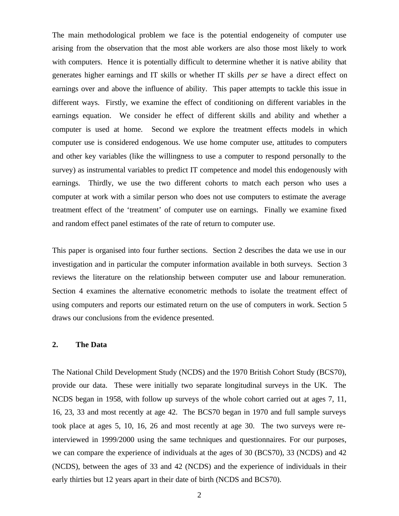The main methodological problem we face is the potential endogeneity of computer use arising from the observation that the most able workers are also those most likely to work with computers. Hence it is potentially difficult to determine whether it is native ability that generates higher earnings and IT skills or whether IT skills *per se* have a direct effect on earnings over and above the influence of ability. This paper attempts to tackle this issue in different ways. Firstly, we examine the effect of conditioning on different variables in the earnings equation. We consider he effect of different skills and ability and whether a computer is used at home. Second we explore the treatment effects models in which computer use is considered endogenous. We use home computer use, attitudes to computers and other key variables (like the willingness to use a computer to respond personally to the survey) as instrumental variables to predict IT competence and model this endogenously with earnings. Thirdly, we use the two different cohorts to match each person who uses a computer at work with a similar person who does not use computers to estimate the average treatment effect of the 'treatment' of computer use on earnings. Finally we examine fixed and random effect panel estimates of the rate of return to computer use.

This paper is organised into four further sections. Section 2 describes the data we use in our investigation and in particular the computer information available in both surveys. Section 3 reviews the literature on the relationship between computer use and labour remuneration. Section 4 examines the alternative econometric methods to isolate the treatment effect of using computers and reports our estimated return on the use of computers in work. Section 5 draws our conclusions from the evidence presented.

## **2. The Data**

The National Child Development Study (NCDS) and the 1970 British Cohort Study (BCS70), provide our data. These were initially two separate longitudinal surveys in the UK. The NCDS began in 1958, with follow up surveys of the whole cohort carried out at ages 7, 11, 16, 23, 33 and most recently at age 42. The BCS70 began in 1970 and full sample surveys took place at ages 5, 10, 16, 26 and most recently at age 30. The two surveys were reinterviewed in 1999/2000 using the same techniques and questionnaires. For our purposes, we can compare the experience of individuals at the ages of 30 (BCS70), 33 (NCDS) and 42 (NCDS), between the ages of 33 and 42 (NCDS) and the experience of individuals in their early thirties but 12 years apart in their date of birth (NCDS and BCS70).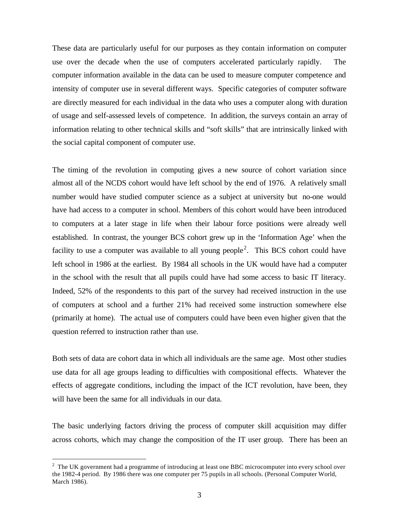These data are particularly useful for our purposes as they contain information on computer use over the decade when the use of computers accelerated particularly rapidly. The computer information available in the data can be used to measure computer competence and intensity of computer use in several different ways. Specific categories of computer software are directly measured for each individual in the data who uses a computer along with duration of usage and self-assessed levels of competence. In addition, the surveys contain an array of information relating to other technical skills and "soft skills" that are intrinsically linked with the social capital component of computer use.

The timing of the revolution in computing gives a new source of cohort variation since almost all of the NCDS cohort would have left school by the end of 1976. A relatively small number would have studied computer science as a subject at university but no-one would have had access to a computer in school. Members of this cohort would have been introduced to computers at a later stage in life when their labour force positions were already well established. In contrast, the younger BCS cohort grew up in the 'Information Age' when the facility to use a computer was available to all young people<sup>2</sup>. This BCS cohort could have left school in 1986 at the earliest. By 1984 all schools in the UK would have had a computer in the school with the result that all pupils could have had some access to basic IT literacy. Indeed, 52% of the respondents to this part of the survey had received instruction in the use of computers at school and a further 21% had received some instruction somewhere else (primarily at home). The actual use of computers could have been even higher given that the question referred to instruction rather than use.

Both sets of data are cohort data in which all individuals are the same age. Most other studies use data for all age groups leading to difficulties with compositional effects. Whatever the effects of aggregate conditions, including the impact of the ICT revolution, have been, they will have been the same for all individuals in our data.

The basic underlying factors driving the process of computer skill acquisition may differ across cohorts, which may change the composition of the IT user group. There has been an

 $\overline{a}$ 

 $2$  The UK government had a programme of introducing at least one BBC microcomputer into every school over the 1982-4 period. By 1986 there was one computer per 75 pupils in all schools. (Personal Computer World, March 1986).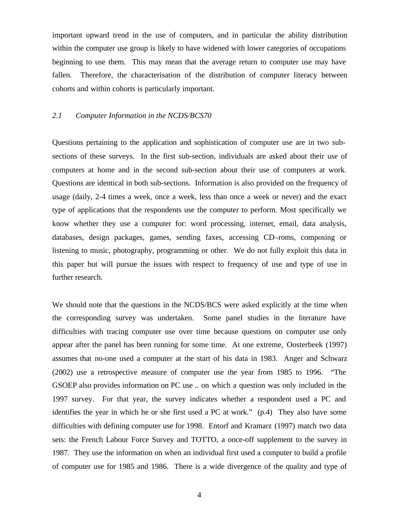important upward trend in the use of computers, and in particular the ability distribution within the computer use group is likely to have widened with lower categories of occupations beginning to use them. This may mean that the average return to computer use may have fallen. Therefore, the characterisation of the distribution of computer literacy between cohorts and within cohorts is particularly important.

## *2.1 Computer Information in the NCDS/BCS70*

Questions pertaining to the application and sophistication of computer use are in two subsections of these surveys. In the first sub-section, individuals are asked about their use of computers at home and in the second sub-section about their use of computers at work. Questions are identical in both sub-sections. Information is also provided on the frequency of usage (daily, 2-4 times a week, once a week, less than once a week or never) and the exact type of applications that the respondents use the computer to perform. Most specifically we know whether they use a computer for: word processing, internet, email, data analysis, databases, design packages, games, sending faxes, accessing CD–roms, composing or listening to music, photography, programming or other. We do not fully exploit this data in this paper but will pursue the issues with respect to frequency of use and type of use in further research.

We should note that the questions in the NCDS/BCS were asked explicitly at the time when the corresponding survey was undertaken. Some panel studies in the literature have difficulties with tracing computer use over time because questions on computer use only appear after the panel has been running for some time. At one extreme, Oosterbeek (1997) assumes that no-one used a computer at the start of his data in 1983. Anger and Schwarz (2002) use a retrospective measure of computer use the year from 1985 to 1996. "The GSOEP also provides information on PC use .. on which a question was only included in the 1997 survey. For that year, the survey indicates whether a respondent used a PC and identifies the year in which he or she first used a PC at work." (p.4) They also have some difficulties with defining computer use for 1998. Entorf and Kramarz (1997) match two data sets: the French Labour Force Survey and TOTTO, a once-off supplement to the survey in 1987. They use the information on when an individual first used a computer to build a profile of computer use for 1985 and 1986. There is a wide divergence of the quality and type of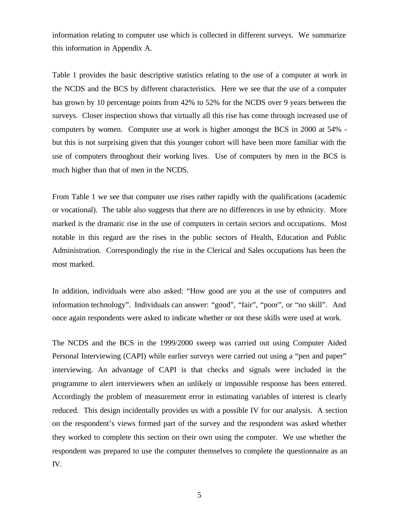information relating to computer use which is collected in different surveys. We summarize this information in Appendix A.

Table 1 provides the basic descriptive statistics relating to the use of a computer at work in the NCDS and the BCS by different characteristics. Here we see that the use of a computer has grown by 10 percentage points from 42% to 52% for the NCDS over 9 years between the surveys. Closer inspection shows that virtually all this rise has come through increased use of computers by women. Computer use at work is higher amongst the BCS in 2000 at 54% but this is not surprising given that this younger cohort will have been more familiar with the use of computers throughout their working lives. Use of computers by men in the BCS is much higher than that of men in the NCDS.

From Table 1 we see that computer use rises rather rapidly with the qualifications (academic or vocational). The table also suggests that there are no differences in use by ethnicity. More marked is the dramatic rise in the use of computers in certain sectors and occupations. Most notable in this regard are the rises in the public sectors of Health, Education and Public Administration. Correspondingly the rise in the Clerical and Sales occupations has been the most marked.

In addition, individuals were also asked: "How good are you at the use of computers and information technology". Individuals can answer: "good", "fair", "poor", or "no skill". And once again respondents were asked to indicate whether or not these skills were used at work.

The NCDS and the BCS in the 1999/2000 sweep was carried out using Computer Aided Personal Interviewing (CAPI) while earlier surveys were carried out using a "pen and paper" interviewing. An advantage of CAPI is that checks and signals were included in the programme to alert interviewers when an unlikely or impossible response has been entered. Accordingly the problem of measurement error in estimating variables of interest is clearly reduced. This design incidentally provides us with a possible IV for our analysis. A section on the respondent's views formed part of the survey and the respondent was asked whether they worked to complete this section on their own using the computer. We use whether the respondent was prepared to use the computer themselves to complete the questionnaire as an IV.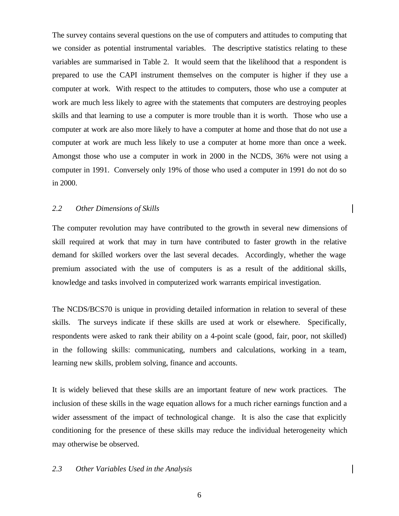The survey contains several questions on the use of computers and attitudes to computing that we consider as potential instrumental variables. The descriptive statistics relating to these variables are summarised in Table 2. It would seem that the likelihood that a respondent is prepared to use the CAPI instrument themselves on the computer is higher if they use a computer at work. With respect to the attitudes to computers, those who use a computer at work are much less likely to agree with the statements that computers are destroying peoples skills and that learning to use a computer is more trouble than it is worth. Those who use a computer at work are also more likely to have a computer at home and those that do not use a computer at work are much less likely to use a computer at home more than once a week. Amongst those who use a computer in work in 2000 in the NCDS, 36% were not using a computer in 1991. Conversely only 19% of those who used a computer in 1991 do not do so in 2000.

## *2.2 Other Dimensions of Skills*

The computer revolution may have contributed to the growth in several new dimensions of skill required at work that may in turn have contributed to faster growth in the relative demand for skilled workers over the last several decades. Accordingly, whether the wage premium associated with the use of computers is as a result of the additional skills, knowledge and tasks involved in computerized work warrants empirical investigation.

The NCDS/BCS70 is unique in providing detailed information in relation to several of these skills. The surveys indicate if these skills are used at work or elsewhere. Specifically, respondents were asked to rank their ability on a 4-point scale (good, fair, poor, not skilled) in the following skills: communicating, numbers and calculations, working in a team, learning new skills, problem solving, finance and accounts.

It is widely believed that these skills are an important feature of new work practices. The inclusion of these skills in the wage equation allows for a much richer earnings function and a wider assessment of the impact of technological change. It is also the case that explicitly conditioning for the presence of these skills may reduce the individual heterogeneity which may otherwise be observed.

## *2.3 Other Variables Used in the Analysis*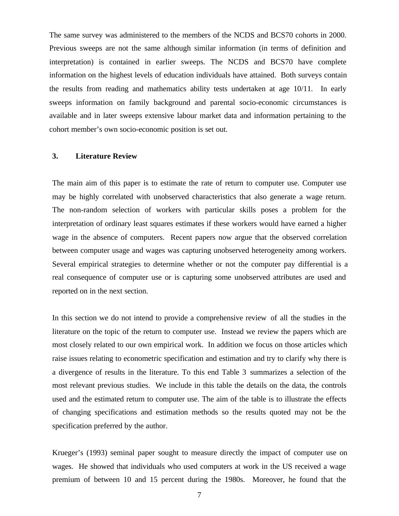The same survey was administered to the members of the NCDS and BCS70 cohorts in 2000. Previous sweeps are not the same although similar information (in terms of definition and interpretation) is contained in earlier sweeps. The NCDS and BCS70 have complete information on the highest levels of education individuals have attained. Both surveys contain the results from reading and mathematics ability tests undertaken at age 10/11. In early sweeps information on family background and parental socio-economic circumstances is available and in later sweeps extensive labour market data and information pertaining to the cohort member's own socio-economic position is set out.

### **3. Literature Review**

The main aim of this paper is to estimate the rate of return to computer use. Computer use may be highly correlated with unobserved characteristics that also generate a wage return. The non-random selection of workers with particular skills poses a problem for the interpretation of ordinary least squares estimates if these workers would have earned a higher wage in the absence of computers. Recent papers now argue that the observed correlation between computer usage and wages was capturing unobserved heterogeneity among workers. Several empirical strategies to determine whether or not the computer pay differential is a real consequence of computer use or is capturing some unobserved attributes are used and reported on in the next section.

In this section we do not intend to provide a comprehensive review of all the studies in the literature on the topic of the return to computer use. Instead we review the papers which are most closely related to our own empirical work. In addition we focus on those articles which raise issues relating to econometric specification and estimation and try to clarify why there is a divergence of results in the literature. To this end Table 3 summarizes a selection of the most relevant previous studies. We include in this table the details on the data, the controls used and the estimated return to computer use. The aim of the table is to illustrate the effects of changing specifications and estimation methods so the results quoted may not be the specification preferred by the author.

Krueger's (1993) seminal paper sought to measure directly the impact of computer use on wages. He showed that individuals who used computers at work in the US received a wage premium of between 10 and 15 percent during the 1980s. Moreover, he found that the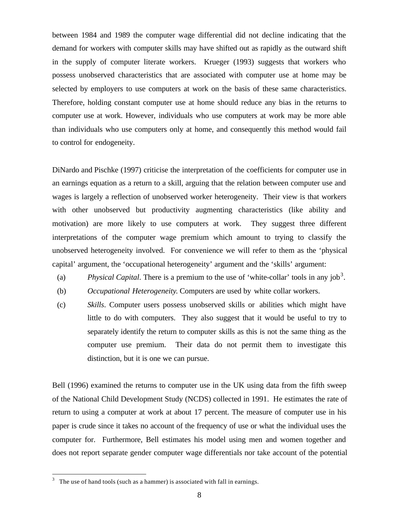between 1984 and 1989 the computer wage differential did not decline indicating that the demand for workers with computer skills may have shifted out as rapidly as the outward shift in the supply of computer literate workers. Krueger (1993) suggests that workers who possess unobserved characteristics that are associated with computer use at home may be selected by employers to use computers at work on the basis of these same characteristics. Therefore, holding constant computer use at home should reduce any bias in the returns to computer use at work. However, individuals who use computers at work may be more able than individuals who use computers only at home, and consequently this method would fail to control for endogeneity.

DiNardo and Pischke (1997) criticise the interpretation of the coefficients for computer use in an earnings equation as a return to a skill, arguing that the relation between computer use and wages is largely a reflection of unobserved worker heterogeneity. Their view is that workers with other unobserved but productivity augmenting characteristics (like ability and motivation) are more likely to use computers at work. They suggest three different interpretations of the computer wage premium which amount to trying to classify the unobserved heterogeneity involved. For convenience we will refer to them as the 'physical capital' argument, the 'occupational heterogeneity' argument and the 'skills' argument:

- (a) *Physical Capital*. There is a premium to the use of 'white-collar' tools in any job<sup>3</sup>.
- (b) *Occupational Heterogeneity*. Computers are used by white collar workers.
- (c) *Skills*. Computer users possess unobserved skills or abilities which might have little to do with computers. They also suggest that it would be useful to try to separately identify the return to computer skills as this is not the same thing as the computer use premium. Their data do not permit them to investigate this distinction, but it is one we can pursue.

Bell (1996) examined the returns to computer use in the UK using data from the fifth sweep of the National Child Development Study (NCDS) collected in 1991. He estimates the rate of return to using a computer at work at about 17 percent. The measure of computer use in his paper is crude since it takes no account of the frequency of use or what the individual uses the computer for. Furthermore, Bell estimates his model using men and women together and does not report separate gender computer wage differentials nor take account of the potential

 $\overline{a}$ 

<sup>3</sup> The use of hand tools (such as a hammer) is associated with fall in earnings.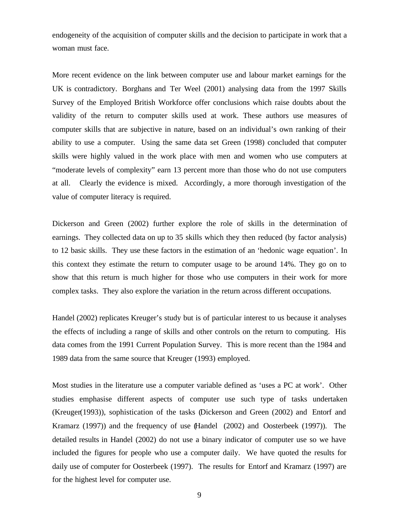endogeneity of the acquisition of computer skills and the decision to participate in work that a woman must face.

More recent evidence on the link between computer use and labour market earnings for the UK is contradictory. Borghans and Ter Weel (2001) analysing data from the 1997 Skills Survey of the Employed British Workforce offer conclusions which raise doubts about the validity of the return to computer skills used at work. These authors use measures of computer skills that are subjective in nature, based on an individual's own ranking of their ability to use a computer. Using the same data set Green (1998) concluded that computer skills were highly valued in the work place with men and women who use computers at "moderate levels of complexity" earn 13 percent more than those who do not use computers at all. Clearly the evidence is mixed. Accordingly, a more thorough investigation of the value of computer literacy is required.

Dickerson and Green (2002) further explore the role of skills in the determination of earnings. They collected data on up to 35 skills which they then reduced (by factor analysis) to 12 basic skills. They use these factors in the estimation of an 'hedonic wage equation'. In this context they estimate the return to computer usage to be around 14%. They go on to show that this return is much higher for those who use computers in their work for more complex tasks. They also explore the variation in the return across different occupations.

Handel (2002) replicates Kreuger's study but is of particular interest to us because it analyses the effects of including a range of skills and other controls on the return to computing. His data comes from the 1991 Current Population Survey. This is more recent than the 1984 and 1989 data from the same source that Kreuger (1993) employed.

Most studies in the literature use a computer variable defined as 'uses a PC at work'. Other studies emphasise different aspects of computer use such type of tasks undertaken (Kreuger(1993)), sophistication of the tasks (Dickerson and Green (2002) and Entorf and Kramarz (1997)) and the frequency of use (Handel (2002) and Oosterbeek (1997)). The detailed results in Handel (2002) do not use a binary indicator of computer use so we have included the figures for people who use a computer daily. We have quoted the results for daily use of computer for Oosterbeek (1997). The results for Entorf and Kramarz (1997) are for the highest level for computer use.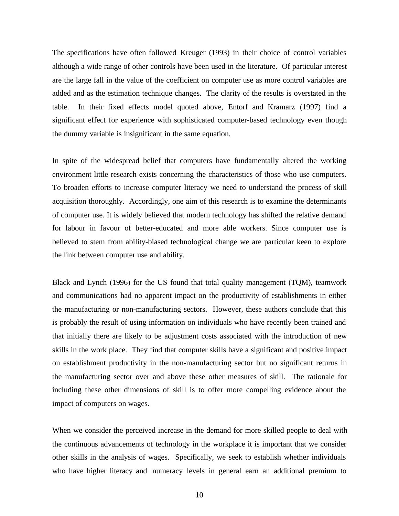The specifications have often followed Kreuger (1993) in their choice of control variables although a wide range of other controls have been used in the literature. Of particular interest are the large fall in the value of the coefficient on computer use as more control variables are added and as the estimation technique changes. The clarity of the results is overstated in the table. In their fixed effects model quoted above, Entorf and Kramarz (1997) find a significant effect for experience with sophisticated computer-based technology even though the dummy variable is insignificant in the same equation.

In spite of the widespread belief that computers have fundamentally altered the working environment little research exists concerning the characteristics of those who use computers. To broaden efforts to increase computer literacy we need to understand the process of skill acquisition thoroughly. Accordingly, one aim of this research is to examine the determinants of computer use. It is widely believed that modern technology has shifted the relative demand for labour in favour of better-educated and more able workers. Since computer use is believed to stem from ability-biased technological change we are particular keen to explore the link between computer use and ability.

Black and Lynch (1996) for the US found that total quality management (TQM), teamwork and communications had no apparent impact on the productivity of establishments in either the manufacturing or non-manufacturing sectors. However, these authors conclude that this is probably the result of using information on individuals who have recently been trained and that initially there are likely to be adjustment costs associated with the introduction of new skills in the work place. They find that computer skills have a significant and positive impact on establishment productivity in the non-manufacturing sector but no significant returns in the manufacturing sector over and above these other measures of skill. The rationale for including these other dimensions of skill is to offer more compelling evidence about the impact of computers on wages.

When we consider the perceived increase in the demand for more skilled people to deal with the continuous advancements of technology in the workplace it is important that we consider other skills in the analysis of wages. Specifically, we seek to establish whether individuals who have higher literacy and numeracy levels in general earn an additional premium to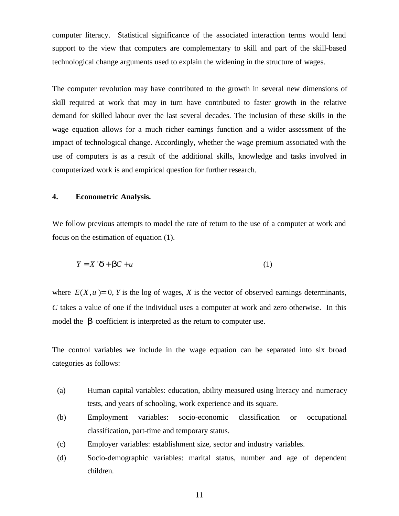computer literacy. Statistical significance of the associated interaction terms would lend support to the view that computers are complementary to skill and part of the skill-based technological change arguments used to explain the widening in the structure of wages.

The computer revolution may have contributed to the growth in several new dimensions of skill required at work that may in turn have contributed to faster growth in the relative demand for skilled labour over the last several decades. The inclusion of these skills in the wage equation allows for a much richer earnings function and a wider assessment of the impact of technological change. Accordingly, whether the wage premium associated with the use of computers is as a result of the additional skills, knowledge and tasks involved in computerized work is and empirical question for further research.

## **4. Econometric Analysis.**

We follow previous attempts to model the rate of return to the use of a computer at work and focus on the estimation of equation (1).

$$
Y = X \, \mathbf{d} + \mathbf{b}C + u \tag{1}
$$

where  $E(X, u) = 0$ , *Y* is the log of wages, *X* is the vector of observed earnings determinants, *C* takes a value of one if the individual uses a computer at work and zero otherwise. In this model the *b* coefficient is interpreted as the return to computer use.

The control variables we include in the wage equation can be separated into six broad categories as follows:

- (a) Human capital variables: education, ability measured using literacy and numeracy tests, and years of schooling, work experience and its square.
- (b) Employment variables: socio-economic classification or occupational classification, part-time and temporary status.
- (c) Employer variables: establishment size, sector and industry variables.
- (d) Socio-demographic variables: marital status, number and age of dependent children.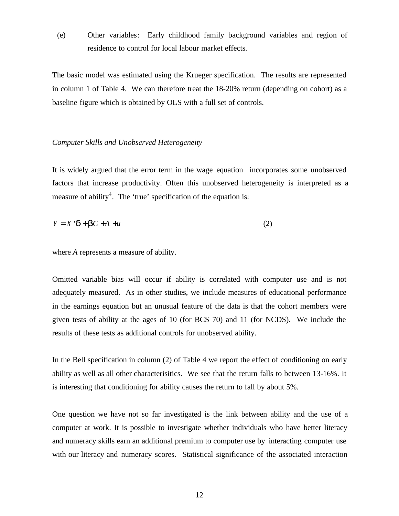(e) Other variables: Early childhood family background variables and region of residence to control for local labour market effects.

The basic model was estimated using the Krueger specification. The results are represented in column 1 of Table 4. We can therefore treat the 18-20% return (depending on cohort) as a baseline figure which is obtained by OLS with a full set of controls.

## *Computer Skills and Unobserved Heterogeneity*

It is widely argued that the error term in the wage equation incorporates some unobserved factors that increase productivity. Often this unobserved heterogeneity is interpreted as a measure of ability<sup>4</sup>. The 'true' specification of the equation is:

$$
Y = X \cdot d + bC + A + u \tag{2}
$$

where *A* represents a measure of ability.

Omitted variable bias will occur if ability is correlated with computer use and is not adequately measured. As in other studies, we include measures of educational performance in the earnings equation but an unusual feature of the data is that the cohort members were given tests of ability at the ages of 10 (for BCS 70) and 11 (for NCDS). We include the results of these tests as additional controls for unobserved ability.

In the Bell specification in column (2) of Table 4 we report the effect of conditioning on early ability as well as all other characterisitics. We see that the return falls to between 13-16%. It is interesting that conditioning for ability causes the return to fall by about 5%.

One question we have not so far investigated is the link between ability and the use of a computer at work. It is possible to investigate whether individuals who have better literacy and numeracy skills earn an additional premium to computer use by interacting computer use with our literacy and numeracy scores. Statistical significance of the associated interaction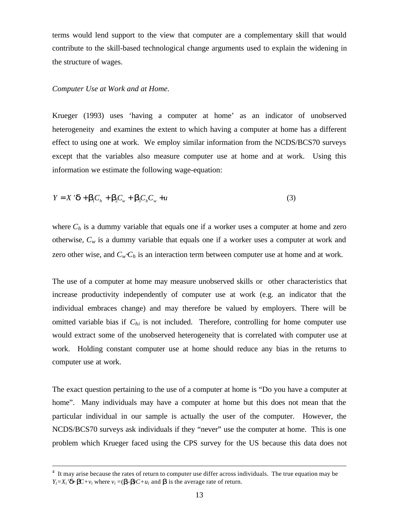terms would lend support to the view that computer are a complementary skill that would contribute to the skill-based technological change arguments used to explain the widening in the structure of wages.

#### *Computer Use at Work and at Home.*

 $\overline{a}$ 

Krueger (1993) uses 'having a computer at home' as an indicator of unobserved heterogeneity and examines the extent to which having a computer at home has a different effect to using one at work. We employ similar information from the NCDS/BCS70 surveys except that the variables also measure computer use at home and at work. Using this information we estimate the following wage-equation:

$$
Y = X \, \mathbf{d} + \mathbf{b}_1 C_h + \mathbf{b}_2 C_w + \mathbf{b}_3 C_h C_w + u \tag{3}
$$

where  $C_h$  is a dummy variable that equals one if a worker uses a computer at home and zero otherwise,  $C_w$  is a dummy variable that equals one if a worker uses a computer at work and zero other wise, and  $C_w\mathcal{L}_h$  is an interaction term between computer use at home and at work.

The use of a computer at home may measure unobserved skills or other characteristics that increase productivity independently of computer use at work (e.g. an indicator that the individual embraces change) and may therefore be valued by employers. There will be omitted variable bias if *Chi* is not included. Therefore, controlling for home computer use would extract some of the unobserved heterogeneity that is correlated with computer use at work. Holding constant computer use at home should reduce any bias in the returns to computer use at work.

The exact question pertaining to the use of a computer at home is "Do you have a computer at home". Many individuals may have a computer at home but this does not mean that the particular individual in our sample is actually the user of the computer. However, the NCDS/BCS70 surveys ask individuals if they "never" use the computer at home. This is one problem which Krueger faced using the CPS survey for the US because this data does not

<sup>&</sup>lt;sup>4</sup> It may arise because the rates of return to computer use differ across individuals. The true equation may be  $Y_i = X_i'$ *d* **+** *bC*+*v*<sub>*i*</sub> where  $v_i = (b - b)C + u_i$  and *b* is the average rate of return.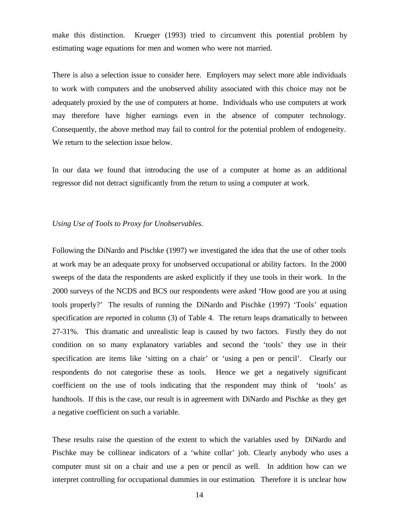make this distinction. Krueger (1993) tried to circumvent this potential problem by estimating wage equations for men and women who were not married.

There is also a selection issue to consider here. Employers may select more able individuals to work with computers and the unobserved ability associated with this choice may not be adequately proxied by the use of computers at home. Individuals who use computers at work may therefore have higher earnings even in the absence of computer technology. Consequently, the above method may fail to control for the potential problem of endogeneity. We return to the selection issue below.

In our data we found that introducing the use of a computer at home as an additional regressor did not detract significantly from the return to using a computer at work.

## *Using Use of Tools to Proxy for Unobservables.*

Following the DiNardo and Pischke (1997) we investigated the idea that the use of other tools at work may be an adequate proxy for unobserved occupational or ability factors. In the 2000 sweeps of the data the respondents are asked explicitly if they use tools in their work. In the 2000 surveys of the NCDS and BCS our respondents were asked 'How good are you at using tools properly?' The results of running the DiNardo and Pischke (1997) 'Tools' equation specification are reported in column (3) of Table 4. The return leaps dramatically to between 27-31%. This dramatic and unrealistic leap is caused by two factors. Firstly they do not condition on so many explanatory variables and second the 'tools' they use in their specification are items like 'sitting on a chair' or 'using a pen or pencil'. Clearly our respondents do not categorise these as tools. Hence we get a negatively significant coefficient on the use of tools indicating that the respondent may think of 'tools' as handtools. If this is the case, our result is in agreement with DiNardo and Pischke as they get a negative coefficient on such a variable.

These results raise the question of the extent to which the variables used by DiNardo and Pischke may be collinear indicators of a 'white collar' job. Clearly anybody who uses a computer must sit on a chair and use a pen or pencil as well. In addition how can we interpret controlling for occupational dummies in our estimation. Therefore it is unclear how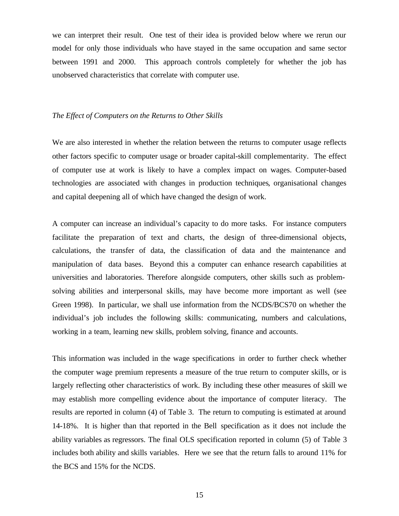we can interpret their result. One test of their idea is provided below where we rerun our model for only those individuals who have stayed in the same occupation and same sector between 1991 and 2000. This approach controls completely for whether the job has unobserved characteristics that correlate with computer use.

### *The Effect of Computers on the Returns to Other Skills*

We are also interested in whether the relation between the returns to computer usage reflects other factors specific to computer usage or broader capital-skill complementarity. The effect of computer use at work is likely to have a complex impact on wages. Computer-based technologies are associated with changes in production techniques, organisational changes and capital deepening all of which have changed the design of work.

A computer can increase an individual's capacity to do more tasks. For instance computers facilitate the preparation of text and charts, the design of three-dimensional objects, calculations, the transfer of data, the classification of data and the maintenance and manipulation of data bases. Beyond this a computer can enhance research capabilities at universities and laboratories. Therefore alongside computers, other skills such as problemsolving abilities and interpersonal skills, may have become more important as well (see Green 1998). In particular, we shall use information from the NCDS/BCS70 on whether the individual's job includes the following skills: communicating, numbers and calculations, working in a team, learning new skills, problem solving, finance and accounts.

This information was included in the wage specifications in order to further check whether the computer wage premium represents a measure of the true return to computer skills, or is largely reflecting other characteristics of work. By including these other measures of skill we may establish more compelling evidence about the importance of computer literacy. The results are reported in column (4) of Table 3. The return to computing is estimated at around 14-18%. It is higher than that reported in the Bell specification as it does not include the ability variables as regressors. The final OLS specification reported in column (5) of Table 3 includes both ability and skills variables. Here we see that the return falls to around 11% for the BCS and 15% for the NCDS.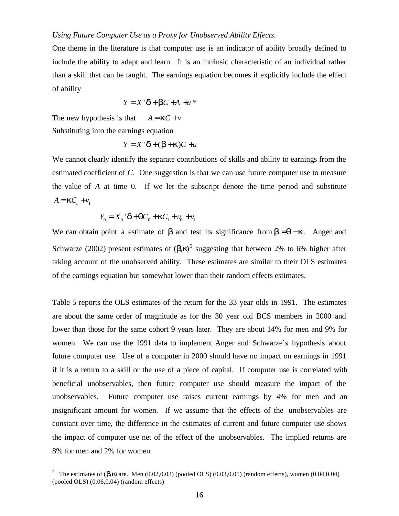## *Using Future Computer Use as a Proxy for Unobserved Ability Effects.*

One theme in the literature is that computer use is an indicator of ability broadly defined to include the ability to adapt and learn. It is an intrinsic characteristic of an individual rather than a skill that can be taught. The earnings equation becomes if explicitly include the effect of ability

$$
Y = X \mathbf{d} + \mathbf{b}C + A + u^*
$$

The new hypothesis is that  $A = \mathbf{k}C + v$ 

Substituting into the earnings equation

 $\overline{a}$ 

$$
Y = X' \mathbf{d} + (\mathbf{b} + \mathbf{k})C + u
$$

We cannot clearly identify the separate contributions of skills and ability to earnings from the estimated coefficient of *C*. One suggestion is that we can use future computer use to measure the value of *A* at time 0. If we let the subscript denote the time period and substitute  $A = \mathbf{k} C_1 + v_1$ 

$$
Y_0 = X_0 \mathbf{d} + \mathbf{q}C_0 + \mathbf{k}C_1 + \mathbf{u}_0 + \mathbf{v}_1
$$

We can obtain point a estimate of **b** and test its significance from  $\mathbf{b} = \mathbf{q} - \mathbf{k}$ . Anger and Schwarze (2002) present estimates of  $(h, k)$ <sup>5</sup> suggesting that between 2% to 6% higher after taking account of the unobserved ability. These estimates are similar to their OLS estimates of the earnings equation but somewhat lower than their random effects estimates.

Table 5 reports the OLS estimates of the return for the 33 year olds in 1991. The estimates are about the same order of magnitude as for the 30 year old BCS members in 2000 and lower than those for the same cohort 9 years later. They are about 14% for men and 9% for women. We can use the 1991 data to implement Anger and Schwarze's hypothesis about future computer use. Use of a computer in 2000 should have no impact on earnings in 1991 if it is a return to a skill or the use of a piece of capital. If computer use is correlated with beneficial unobservables, then future computer use should measure the impact of the unobservables. Future computer use raises current earnings by 4% for men and an insignificant amount for women. If we assume that the effects of the unobservables are constant over time, the difference in the estimates of current and future computer use shows the impact of computer use net of the effect of the unobservables. The implied returns are 8% for men and 2% for women.

<sup>&</sup>lt;sup>5</sup> The estimates of ( $\bm{b}$ , $\bm{k}$ ) are. Men (0.02,0.03) (pooled OLS) (0.03,0.05) (random effects), women (0.04,0.04) (pooled OLS) (0.06,0.04) (random effects)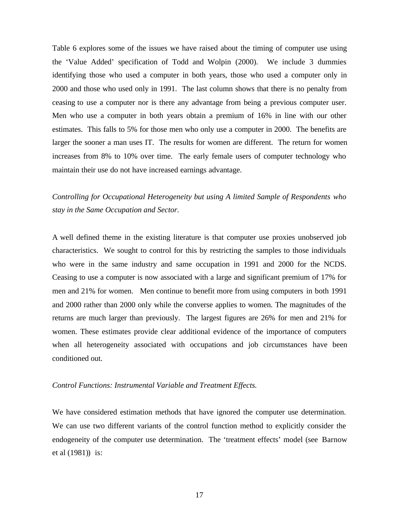Table 6 explores some of the issues we have raised about the timing of computer use using the 'Value Added' specification of Todd and Wolpin (2000). We include 3 dummies identifying those who used a computer in both years, those who used a computer only in 2000 and those who used only in 1991. The last column shows that there is no penalty from ceasing to use a computer nor is there any advantage from being a previous computer user. Men who use a computer in both years obtain a premium of 16% in line with our other estimates. This falls to 5% for those men who only use a computer in 2000. The benefits are larger the sooner a man uses IT. The results for women are different. The return for women increases from 8% to 10% over time. The early female users of computer technology who maintain their use do not have increased earnings advantage.

# *Controlling for Occupational Heterogeneity but using A limited Sample of Respondents who stay in the Same Occupation and Sector.*

A well defined theme in the existing literature is that computer use proxies unobserved job characteristics. We sought to control for this by restricting the samples to those individuals who were in the same industry and same occupation in 1991 and 2000 for the NCDS. Ceasing to use a computer is now associated with a large and significant premium of 17% for men and 21% for women. Men continue to benefit more from using computers in both 1991 and 2000 rather than 2000 only while the converse applies to women. The magnitudes of the returns are much larger than previously. The largest figures are 26% for men and 21% for women. These estimates provide clear additional evidence of the importance of computers when all heterogeneity associated with occupations and job circumstances have been conditioned out.

### *Control Functions: Instrumental Variable and Treatment Effects.*

We have considered estimation methods that have ignored the computer use determination. We can use two different variants of the control function method to explicitly consider the endogeneity of the computer use determination. The 'treatment effects' model (see Barnow et al (1981)) is: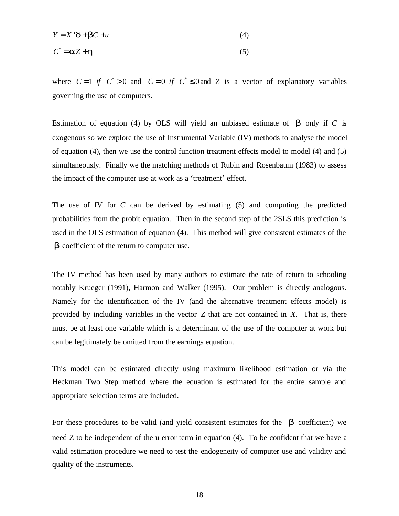$$
Y = X \, \mathbf{d} + \mathbf{b}C + u \tag{4}
$$

$$
C^* = aZ + h \tag{5}
$$

where  $C = 1$  if  $C^* > 0$  and  $C = 0$  if  $C^* \le 0$  and Z is a vector of explanatory variables governing the use of computers.

Estimation of equation (4) by OLS will yield an unbiased estimate of *b* only if *C* is exogenous so we explore the use of Instrumental Variable (IV) methods to analyse the model of equation (4), then we use the control function treatment effects model to model (4) and (5) simultaneously. Finally we the matching methods of Rubin and Rosenbaum (1983) to assess the impact of the computer use at work as a 'treatment' effect.

The use of IV for *C* can be derived by estimating (5) and computing the predicted probabilities from the probit equation. Then in the second step of the 2SLS this prediction is used in the OLS estimation of equation (4). This method will give consistent estimates of the *b* coefficient of the return to computer use.

The IV method has been used by many authors to estimate the rate of return to schooling notably Krueger (1991), Harmon and Walker (1995). Our problem is directly analogous. Namely for the identification of the IV (and the alternative treatment effects model) is provided by including variables in the vector *Z* that are not contained in *X*. That is, there must be at least one variable which is a determinant of the use of the computer at work but can be legitimately be omitted from the earnings equation.

This model can be estimated directly using maximum likelihood estimation or via the Heckman Two Step method where the equation is estimated for the entire sample and appropriate selection terms are included.

For these procedures to be valid (and yield consistent estimates for the *b* coefficient) we need Z to be independent of the u error term in equation (4). To be confident that we have a valid estimation procedure we need to test the endogeneity of computer use and validity and quality of the instruments.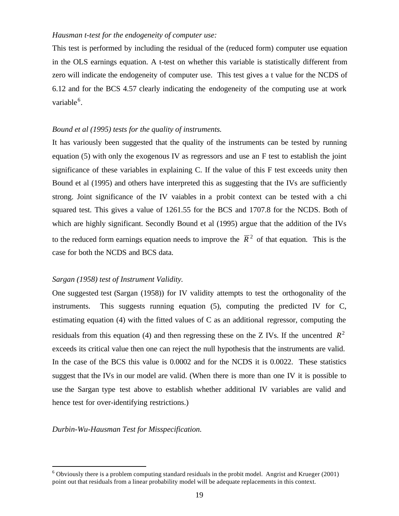## *Hausman t-test for the endogeneity of computer use:*

This test is performed by including the residual of the (reduced form) computer use equation in the OLS earnings equation. A t-test on whether this variable is statistically different from zero will indicate the endogeneity of computer use. This test gives a t value for the NCDS of 6.12 and for the BCS 4.57 clearly indicating the endogeneity of the computing use at work variable<sup>6</sup>.

## *Bound et al (1995) tests for the quality of instruments.*

It has variously been suggested that the quality of the instruments can be tested by running equation (5) with only the exogenous IV as regressors and use an F test to establish the joint significance of these variables in explaining C. If the value of this F test exceeds unity then Bound et al (1995) and others have interpreted this as suggesting that the IVs are sufficiently strong. Joint significance of the IV vaiables in a probit context can be tested with a chi squared test. This gives a value of 1261.55 for the BCS and 1707.8 for the NCDS. Both of which are highly significant. Secondly Bound et al (1995) argue that the addition of the IVs to the reduced form earnings equation needs to improve the  $\bar{R}^2$  of that equation. This is the case for both the NCDS and BCS data.

### *Sargan (1958) test of Instrument Validity.*

One suggested test (Sargan (1958)) for IV validity attempts to test the orthogonality of the instruments. This suggests running equation (5), computing the predicted IV for C, estimating equation (4) with the fitted values of C as an additional regressor, computing the residuals from this equation (4) and then regressing these on the Z IVs. If the uncentred  $R^2$ exceeds its critical value then one can reject the null hypothesis that the instruments are valid. In the case of the BCS this value is 0.0002 and for the NCDS it is 0.0022. These statistics suggest that the IVs in our model are valid. (When there is more than one IV it is possible to use the Sargan type test above to establish whether additional IV variables are valid and hence test for over-identifying restrictions.)

*Durbin-Wu-Hausman Test for Misspecification.*

 $\overline{a}$ 

 $6$  Obviously there is a problem computing standard residuals in the probit model. Angrist and Krueger (2001) point out that residuals from a linear probability model will be adequate replacements in this context.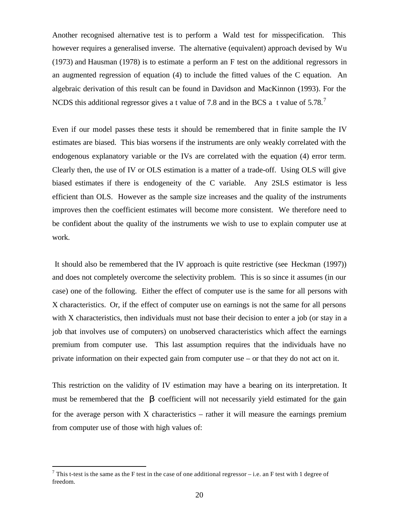Another recognised alternative test is to perform a Wald test for misspecification. This however requires a generalised inverse. The alternative (equivalent) approach devised by Wu (1973) and Hausman (1978) is to estimate a perform an F test on the additional regressors in an augmented regression of equation (4) to include the fitted values of the C equation. An algebraic derivation of this result can be found in Davidson and MacKinnon (1993). For the NCDS this additional regressor gives a t value of 7.8 and in the BCS a t value of 5.78.<sup>7</sup>

Even if our model passes these tests it should be remembered that in finite sample the IV estimates are biased. This bias worsens if the instruments are only weakly correlated with the endogenous explanatory variable or the IVs are correlated with the equation (4) error term. Clearly then, the use of IV or OLS estimation is a matter of a trade-off. Using OLS will give biased estimates if there is endogeneity of the C variable. Any 2SLS estimator is less efficient than OLS. However as the sample size increases and the quality of the instruments improves then the coefficient estimates will become more consistent. We therefore need to be confident about the quality of the instruments we wish to use to explain computer use at work.

 It should also be remembered that the IV approach is quite restrictive (see Heckman (1997)) and does not completely overcome the selectivity problem. This is so since it assumes (in our case) one of the following. Either the effect of computer use is the same for all persons with X characteristics. Or, if the effect of computer use on earnings is not the same for all persons with X characteristics, then individuals must not base their decision to enter a job (or stay in a job that involves use of computers) on unobserved characteristics which affect the earnings premium from computer use. This last assumption requires that the individuals have no private information on their expected gain from computer use – or that they do not act on it.

This restriction on the validity of IV estimation may have a bearing on its interpretation. It must be remembered that the **b** coefficient will not necessarily yield estimated for the gain for the average person with  $X$  characteristics – rather it will measure the earnings premium from computer use of those with high values of:

 $\overline{a}$ 

<sup>&</sup>lt;sup>7</sup> This t-test is the same as the F test in the case of one additional regressor – i.e. an F test with 1 degree of freedom.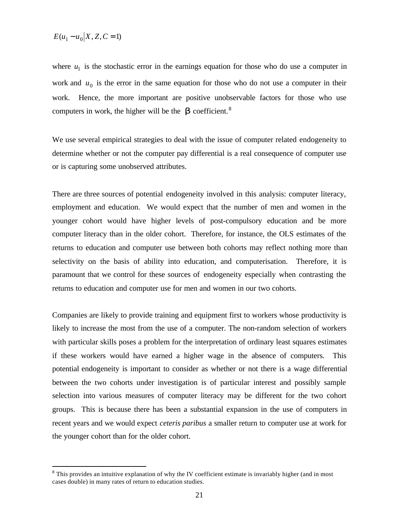$$
E(u_1 - u_0|X, Z, C = 1)
$$

 $\overline{a}$ 

where  $u_1$  is the stochastic error in the earnings equation for those who do use a computer in work and  $u_0$  is the error in the same equation for those who do not use a computer in their work. Hence, the more important are positive unobservable factors for those who use computers in work, the higher will be the  $\boldsymbol{b}$  coefficient.<sup>8</sup>

We use several empirical strategies to deal with the issue of computer related endogeneity to determine whether or not the computer pay differential is a real consequence of computer use or is capturing some unobserved attributes.

There are three sources of potential endogeneity involved in this analysis: computer literacy, employment and education. We would expect that the number of men and women in the younger cohort would have higher levels of post-compulsory education and be more computer literacy than in the older cohort. Therefore, for instance, the OLS estimates of the returns to education and computer use between both cohorts may reflect nothing more than selectivity on the basis of ability into education, and computerisation. Therefore, it is paramount that we control for these sources of endogeneity especially when contrasting the returns to education and computer use for men and women in our two cohorts.

Companies are likely to provide training and equipment first to workers whose productivity is likely to increase the most from the use of a computer. The non-random selection of workers with particular skills poses a problem for the interpretation of ordinary least squares estimates if these workers would have earned a higher wage in the absence of computers. This potential endogeneity is important to consider as whether or not there is a wage differential between the two cohorts under investigation is of particular interest and possibly sample selection into various measures of computer literacy may be different for the two cohort groups. This is because there has been a substantial expansion in the use of computers in recent years and we would expect *ceteris paribus* a smaller return to computer use at work for the younger cohort than for the older cohort.

<sup>&</sup>lt;sup>8</sup> This provides an intuitive explanation of why the IV coefficient estimate is invariably higher (and in most cases double) in many rates of return to education studies.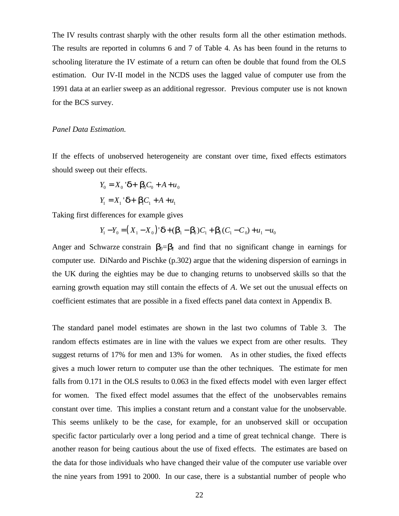The IV results contrast sharply with the other results form all the other estimation methods. The results are reported in columns 6 and 7 of Table 4. As has been found in the returns to schooling literature the IV estimate of a return can often be double that found from the OLS estimation. Our IV-II model in the NCDS uses the lagged value of computer use from the 1991 data at an earlier sweep as an additional regressor. Previous computer use is not known for the BCS survey.

## *Panel Data Estimation.*

If the effects of unobserved heterogeneity are constant over time, fixed effects estimators should sweep out their effects.

$$
Y_0 = X_0 \mathbf{d} + \mathbf{b}_0 C_0 + A + u_0
$$

$$
Y_1 = X_1 \mathbf{d} + \mathbf{b}_1 C_1 + A + u_1
$$

Taking first differences for example gives

$$
Y_1 - Y_0 = (X_1 - X_0) \mathbf{d} + (b_1 - b_0)C_1 + b_0(C_1 - C_0) + u_1 - u_0
$$

Anger and Schwarze constrain  $\mathbf{b}_0 = \mathbf{b}_1$  and find that no significant change in earnings for computer use. DiNardo and Pischke (p.302) argue that the widening dispersion of earnings in the UK during the eighties may be due to changing returns to unobserved skills so that the earning growth equation may still contain the effects of *A*. We set out the unusual effects on coefficient estimates that are possible in a fixed effects panel data context in Appendix B.

The standard panel model estimates are shown in the last two columns of Table 3. The random effects estimates are in line with the values we expect from are other results. They suggest returns of 17% for men and 13% for women. As in other studies, the fixed effects gives a much lower return to computer use than the other techniques. The estimate for men falls from 0.171 in the OLS results to 0.063 in the fixed effects model with even larger effect for women. The fixed effect model assumes that the effect of the unobservables remains constant over time. This implies a constant return and a constant value for the unobservable. This seems unlikely to be the case, for example, for an unobserved skill or occupation specific factor particularly over a long period and a time of great technical change. There is another reason for being cautious about the use of fixed effects. The estimates are based on the data for those individuals who have changed their value of the computer use variable over the nine years from 1991 to 2000. In our case, there is a substantial number of people who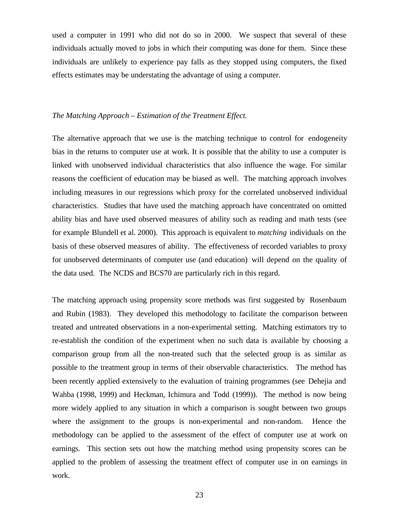used a computer in 1991 who did not do so in 2000. We suspect that several of these individuals actually moved to jobs in which their computing was done for them. Since these individuals are unlikely to experience pay falls as they stopped using computers, the fixed effects estimates may be understating the advantage of using a computer.

## *The Matching Approach – Estimation of the Treatment Effect.*

The alternative approach that we use is the matching technique to control for endogeneity bias in the returns to computer use at work. It is possible that the ability to use a computer is linked with unobserved individual characteristics that also influence the wage. For similar reasons the coefficient of education may be biased as well. The matching approach involves including measures in our regressions which proxy for the correlated unobserved individual characteristics. Studies that have used the matching approach have concentrated on omitted ability bias and have used observed measures of ability such as reading and math tests (see for example Blundell et al. 2000). This approach is equivalent to *matching* individuals on the basis of these observed measures of ability. The effectiveness of recorded variables to proxy for unobserved determinants of computer use (and education) will depend on the quality of the data used. The NCDS and BCS70 are particularly rich in this regard.

The matching approach using propensity score methods was first suggested by Rosenbaum and Rubin (1983). They developed this methodology to facilitate the comparison between treated and untreated observations in a non-experimental setting. Matching estimators try to re-establish the condition of the experiment when no such data is available by choosing a comparison group from all the non-treated such that the selected group is as similar as possible to the treatment group in terms of their observable characteristics. The method has been recently applied extensively to the evaluation of training programmes (see Dehejia and Wahba (1998, 1999) and Heckman, Ichimura and Todd (1999)). The method is now being more widely applied to any situation in which a comparison is sought between two groups where the assignment to the groups is non-experimental and non-random. Hence the methodology can be applied to the assessment of the effect of computer use at work on earnings. This section sets out how the matching method using propensity scores can be applied to the problem of assessing the treatment effect of computer use in on earnings in work.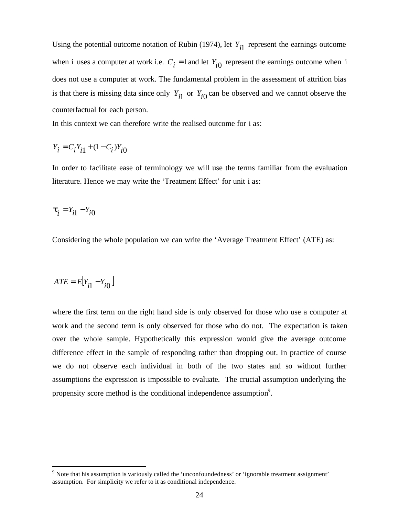Using the potential outcome notation of Rubin (1974), let  $Y_{i1}$  represent the earnings outcome when i uses a computer at work i.e.  $C_i = 1$  and let  $Y_{i0}$  represent the earnings outcome when i does not use a computer at work. The fundamental problem in the assessment of attrition bias is that there is missing data since only  $Y_{i1}$  or  $Y_{i0}$  can be observed and we cannot observe the counterfactual for each person.

In this context we can therefore write the realised outcome for i as:

$$
Y_i = C_i Y_{i1} + (1 - C_i) Y_{i0}
$$

In order to facilitate ease of terminology we will use the terms familiar from the evaluation literature. Hence we may write the 'Treatment Effect' for unit i as:

$$
\boldsymbol{t}_i = Y_{i1} - Y_{i0}
$$

Considering the whole population we can write the 'Average Treatment Effect' (ATE) as:

$$
ATE = E[Y_{i1} - Y_{i0}]
$$

 $\overline{a}$ 

where the first term on the right hand side is only observed for those who use a computer at work and the second term is only observed for those who do not. The expectation is taken over the whole sample. Hypothetically this expression would give the average outcome difference effect in the sample of responding rather than dropping out. In practice of course we do not observe each individual in both of the two states and so without further assumptions the expression is impossible to evaluate. The crucial assumption underlying the propensity score method is the conditional independence assumption<sup>9</sup>.

 $9$  Note that his assumption is variously called the 'unconfoundedness' or 'ignorable treatment assignment' assumption. For simplicity we refer to it as conditional independence.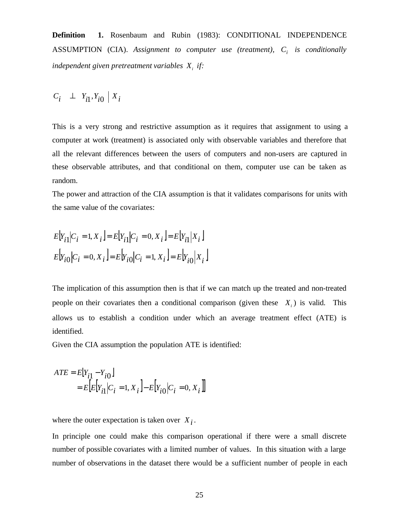**Definition 1.** Rosenbaum and Rubin (1983): CONDITIONAL INDEPENDENCE ASSUMPTION (CIA). *Assignment to computer use (treatment), C<sup>i</sup> is conditionally independent given pretreatment variables X<sup>i</sup> if:*

$$
C_i \perp Y_{i1}, Y_{i0} \mid X_i
$$

This is a very strong and restrictive assumption as it requires that assignment to using a computer at work (treatment) is associated only with observable variables and therefore that all the relevant differences between the users of computers and non-users are captured in these observable attributes, and that conditional on them, computer use can be taken as random.

The power and attraction of the CIA assumption is that it validates comparisons for units with the same value of the covariates:

$$
E[Y_{i1}|C_i = 1, X_i] = E[Y_{i1}|C_i = 0, X_i] = E[Y_{i1}|X_i]
$$
  

$$
E[Y_{i0}|C_i = 0, X_i] = E[Y_{i0}|C_i = 1, X_i] = E[Y_{i0}|X_i]
$$

The implication of this assumption then is that if we can match up the treated and non-treated people on their covariates then a conditional comparison (given these  $X_i$ ) is valid. This allows us to establish a condition under which an average treatment effect (ATE) is identified.

Given the CIA assumption the population ATE is identified:

$$
ATE = E[Y_{i1} - Y_{i0}]
$$
  
=  $E[E[Y_{i1}|C_i = 1, X_i] - E[Y_{i0}|C_i = 0, X_i]]$ 

where the outer expectation is taken over  $X_i$ .

In principle one could make this comparison operational if there were a small discrete number of possible covariates with a limited number of values. In this situation with a large number of observations in the dataset there would be a sufficient number of people in each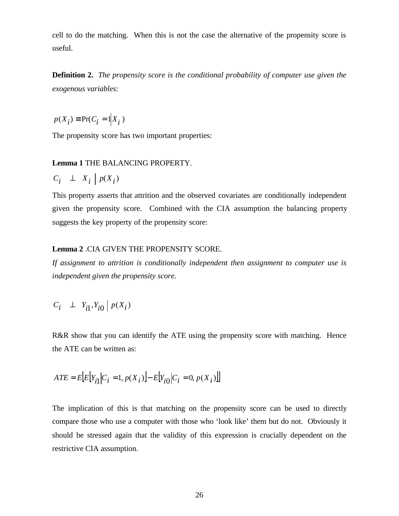cell to do the matching. When this is not the case the alternative of the propensity score is useful.

**Definition 2.** *The propensity score is the conditional probability of computer use given the exogenous variables:*

$$
p(X_i) \equiv \Pr(C_i = 1 | X_i)
$$

The propensity score has two important properties:

## **Lemma 1** THE BALANCING PROPERTY.

$$
C_i \perp X_i \mid p(X_i)
$$

This property asserts that attrition and the observed covariates are conditionally independent given the propensity score. Combined with the CIA assumption the balancing property suggests the key property of the propensity score:

## **Lemma 2** .CIA GIVEN THE PROPENSITY SCORE.

*If assignment to attrition is conditionally independent then assignment to computer use is independent given the propensity score.*

$$
C_i \perp Y_{i1}, Y_{i0} \mid p(X_i)
$$

R&R show that you can identify the ATE using the propensity score with matching. Hence the ATE can be written as:

$$
ATE = E\big[E\big[Y_{i1}\big|C_{i} = 1, p(X_{i})\big] - E\big[Y_{i0}\big|C_{i} = 0, p(X_{i})\big]\big]
$$

The implication of this is that matching on the propensity score can be used to directly compare those who use a computer with those who 'look like' them but do not. Obviously it should be stressed again that the validity of this expression is crucially dependent on the restrictive CIA assumption.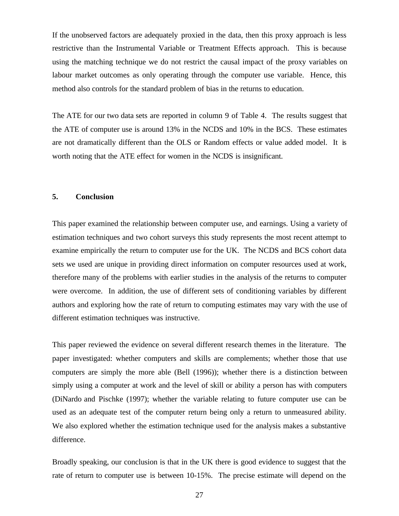If the unobserved factors are adequately proxied in the data, then this proxy approach is less restrictive than the Instrumental Variable or Treatment Effects approach. This is because using the matching technique we do not restrict the causal impact of the proxy variables on labour market outcomes as only operating through the computer use variable. Hence, this method also controls for the standard problem of bias in the returns to education.

The ATE for our two data sets are reported in column 9 of Table 4. The results suggest that the ATE of computer use is around 13% in the NCDS and 10% in the BCS. These estimates are not dramatically different than the OLS or Random effects or value added model. It is worth noting that the ATE effect for women in the NCDS is insignificant.

## **5. Conclusion**

This paper examined the relationship between computer use, and earnings. Using a variety of estimation techniques and two cohort surveys this study represents the most recent attempt to examine empirically the return to computer use for the UK. The NCDS and BCS cohort data sets we used are unique in providing direct information on computer resources used at work, therefore many of the problems with earlier studies in the analysis of the returns to computer were overcome. In addition, the use of different sets of conditioning variables by different authors and exploring how the rate of return to computing estimates may vary with the use of different estimation techniques was instructive.

This paper reviewed the evidence on several different research themes in the literature. The paper investigated: whether computers and skills are complements; whether those that use computers are simply the more able (Bell (1996)); whether there is a distinction between simply using a computer at work and the level of skill or ability a person has with computers (DiNardo and Pischke (1997); whether the variable relating to future computer use can be used as an adequate test of the computer return being only a return to unmeasured ability. We also explored whether the estimation technique used for the analysis makes a substantive difference.

Broadly speaking, our conclusion is that in the UK there is good evidence to suggest that the rate of return to computer use is between 10-15%. The precise estimate will depend on the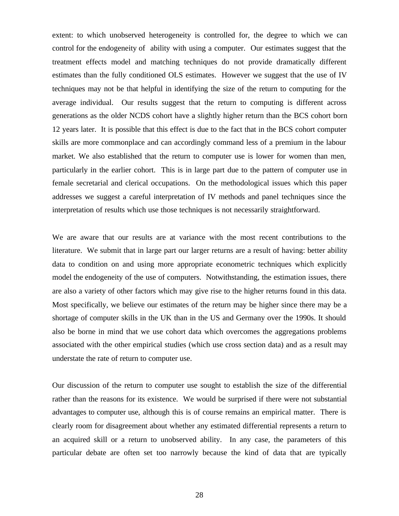extent: to which unobserved heterogeneity is controlled for, the degree to which we can control for the endogeneity of ability with using a computer. Our estimates suggest that the treatment effects model and matching techniques do not provide dramatically different estimates than the fully conditioned OLS estimates. However we suggest that the use of IV techniques may not be that helpful in identifying the size of the return to computing for the average individual. Our results suggest that the return to computing is different across generations as the older NCDS cohort have a slightly higher return than the BCS cohort born 12 years later. It is possible that this effect is due to the fact that in the BCS cohort computer skills are more commonplace and can accordingly command less of a premium in the labour market. We also established that the return to computer use is lower for women than men, particularly in the earlier cohort. This is in large part due to the pattern of computer use in female secretarial and clerical occupations. On the methodological issues which this paper addresses we suggest a careful interpretation of IV methods and panel techniques since the interpretation of results which use those techniques is not necessarily straightforward.

We are aware that our results are at variance with the most recent contributions to the literature. We submit that in large part our larger returns are a result of having: better ability data to condition on and using more appropriate econometric techniques which explicitly model the endogeneity of the use of computers. Notwithstanding, the estimation issues, there are also a variety of other factors which may give rise to the higher returns found in this data. Most specifically, we believe our estimates of the return may be higher since there may be a shortage of computer skills in the UK than in the US and Germany over the 1990s. It should also be borne in mind that we use cohort data which overcomes the aggregations problems associated with the other empirical studies (which use cross section data) and as a result may understate the rate of return to computer use.

Our discussion of the return to computer use sought to establish the size of the differential rather than the reasons for its existence. We would be surprised if there were not substantial advantages to computer use, although this is of course remains an empirical matter. There is clearly room for disagreement about whether any estimated differential represents a return to an acquired skill or a return to unobserved ability. In any case, the parameters of this particular debate are often set too narrowly because the kind of data that are typically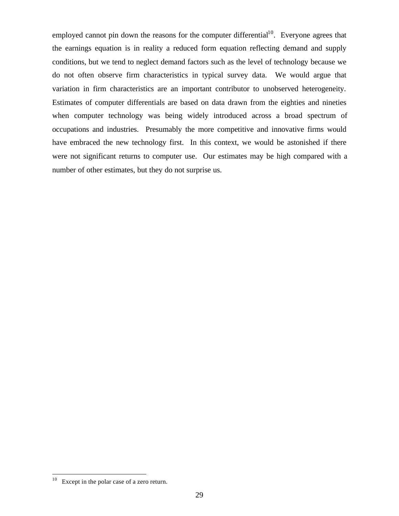employed cannot pin down the reasons for the computer differential<sup>10</sup>. Everyone agrees that the earnings equation is in reality a reduced form equation reflecting demand and supply conditions, but we tend to neglect demand factors such as the level of technology because we do not often observe firm characteristics in typical survey data. We would argue that variation in firm characteristics are an important contributor to unobserved heterogeneity. Estimates of computer differentials are based on data drawn from the eighties and nineties when computer technology was being widely introduced across a broad spectrum of occupations and industries. Presumably the more competitive and innovative firms would have embraced the new technology first. In this context, we would be astonished if there were not significant returns to computer use. Our estimates may be high compared with a number of other estimates, but they do not surprise us.

 $\overline{a}$ 

 $10$  Except in the polar case of a zero return.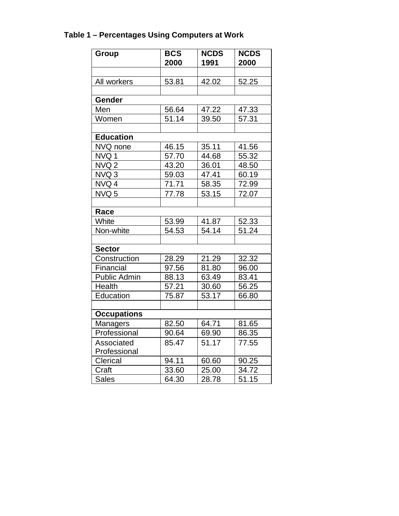# **Table 1 – Percentages Using Computers at Work**

| Group               | <b>BCS</b> | <b>NCDS</b> | <b>NCDS</b> |  |  |
|---------------------|------------|-------------|-------------|--|--|
|                     | 2000       | 1991        | 2000        |  |  |
|                     |            |             |             |  |  |
| All workers         | 53.81      | 42.02       | 52.25       |  |  |
|                     |            |             |             |  |  |
| Gender              |            |             |             |  |  |
| Men                 | 56.64      | 47.22       | 47.33       |  |  |
| Women               | 51.14      | 39.50       | 57.31       |  |  |
|                     |            |             |             |  |  |
| <b>Education</b>    |            |             |             |  |  |
| NVQ none            | 46.15      | 35.11       | 41.56       |  |  |
| NVQ1                | 57.70      | 44.68       | 55.32       |  |  |
| NVQ <sub>2</sub>    | 43.20      | 36.01       | 48.50       |  |  |
| NVQ3                | 59.03      | 47.41       | 60.19       |  |  |
| NVQ 4               | 71.71      | 58.35       | 72.99       |  |  |
| NVQ 5               | 77.78      | 53.15       | 72.07       |  |  |
|                     |            |             |             |  |  |
| Race                |            |             |             |  |  |
| White               | 53.99      | 41.87       | 52.33       |  |  |
| Non-white           | 54.53      | 54.14       | 51.24       |  |  |
|                     |            |             |             |  |  |
| <b>Sector</b>       |            |             |             |  |  |
| Construction        | 28.29      | 21.29       | 32.32       |  |  |
| Financial           | 97.56      | 81.80       | 96.00       |  |  |
| <b>Public Admin</b> | 88.13      | 63.49       | 83.41       |  |  |
| <b>Health</b>       | 57.21      | 30.60       | 56.25       |  |  |
| Education           | 75.87      | 53.17       | 66.80       |  |  |
|                     |            |             |             |  |  |
| <b>Occupations</b>  |            |             |             |  |  |
| <b>Managers</b>     | 82.50      | 64.71       | 81.65       |  |  |
| Professional        | 90.64      | 69.90       | 86.35       |  |  |
| Associated          | 85.47      | 51.17       | 77.55       |  |  |
| Professional        |            |             |             |  |  |
| Clerical            | 94.11      | 60.60       | 90.25       |  |  |
| Craft               | 33.60      | 25.00       | 34.72       |  |  |
| <b>Sales</b>        | 64.30      | 28.78       | 51.15       |  |  |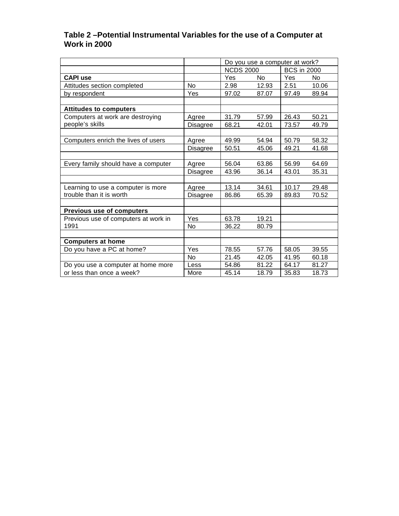# **Table 2 –Potential Instrumental Variables for the use of a Computer at Work in 2000**

|                                      |                 | Do you use a computer at work? |       |                    |       |  |  |
|--------------------------------------|-----------------|--------------------------------|-------|--------------------|-------|--|--|
|                                      |                 | <b>NCDS 2000</b>               |       | <b>BCS in 2000</b> |       |  |  |
| <b>CAPI use</b>                      |                 | Yes                            | No.   | Yes                | No    |  |  |
| Attitudes section completed          | <b>No</b>       | 2.98                           | 12.93 | 2.51               | 10.06 |  |  |
| by respondent                        | Yes             | 97.02                          | 87.07 | 97.49              | 89.94 |  |  |
|                                      |                 |                                |       |                    |       |  |  |
| <b>Attitudes to computers</b>        |                 |                                |       |                    |       |  |  |
| Computers at work are destroying     | Agree           | 31.79                          | 57.99 | 26.43              | 50.21 |  |  |
| people's skills                      | Disagree        | 68.21                          | 42.01 | 73.57              | 49.79 |  |  |
|                                      |                 |                                |       |                    |       |  |  |
| Computers enrich the lives of users  | Agree           | 49.99                          | 54.94 | 50.79              | 58.32 |  |  |
|                                      | <b>Disagree</b> | 50.51                          | 45.06 | 49.21              | 41.68 |  |  |
|                                      |                 |                                |       |                    |       |  |  |
| Every family should have a computer  | Agree           | 56.04                          | 63.86 | 56.99              | 64.69 |  |  |
|                                      | <b>Disagree</b> | 43.96                          | 36.14 | 43.01              | 35.31 |  |  |
|                                      |                 |                                |       |                    |       |  |  |
| Learning to use a computer is more   | Agree           | 13.14                          | 34.61 | 10.17              | 29.48 |  |  |
| trouble than it is worth             | Disagree        | 86.86                          | 65.39 | 89.83              | 70.52 |  |  |
|                                      |                 |                                |       |                    |       |  |  |
| <b>Previous use of computers</b>     |                 |                                |       |                    |       |  |  |
| Previous use of computers at work in | Yes             | 63.78                          | 19.21 |                    |       |  |  |
| 1991                                 | <b>No</b>       | 36.22                          | 80.79 |                    |       |  |  |
|                                      |                 |                                |       |                    |       |  |  |
| <b>Computers at home</b>             |                 |                                |       |                    |       |  |  |
| Do you have a PC at home?            | Yes             | 78.55                          | 57.76 | 58.05              | 39.55 |  |  |
|                                      | No.             | 21.45                          | 42.05 | 41.95              | 60.18 |  |  |
| Do you use a computer at home more   | Less            | 54.86                          | 81.22 | 64.17              | 81.27 |  |  |
| or less than once a week?            | More            | 45.14                          | 18.79 | 35.83              | 18.73 |  |  |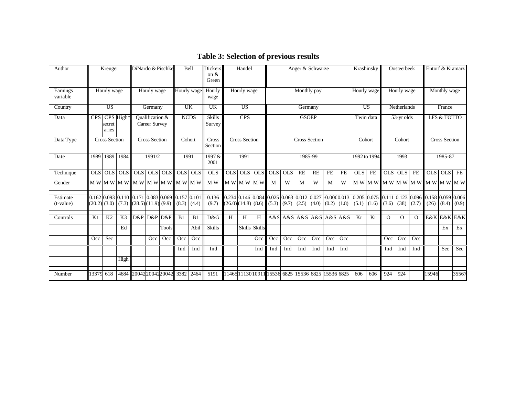| Author               |                  | Kreuger                          |                | DiNardo & Pischke |                                  |       | Bell                                              |       | <b>Dickers</b><br>on $\&$<br>Green | Handel                                                                                                                              |                                              | Anger & Schwarze     |         |                 |             | Krashinsky              |                      | Oosteerbeek |                 |              | Entorf & Kramarz |          |                                   |            |             |       |
|----------------------|------------------|----------------------------------|----------------|-------------------|----------------------------------|-------|---------------------------------------------------|-------|------------------------------------|-------------------------------------------------------------------------------------------------------------------------------------|----------------------------------------------|----------------------|---------|-----------------|-------------|-------------------------|----------------------|-------------|-----------------|--------------|------------------|----------|-----------------------------------|------------|-------------|-------|
| Earnings<br>variable |                  | Hourly wage                      |                |                   | Hourly wage                      |       | Hourly wage                                       |       | Hourly<br>wage                     | Hourly wage                                                                                                                         |                                              | Monthly pay          |         |                 | Hourly wage |                         | Hourly wage          |             |                 | Monthly wage |                  |          |                                   |            |             |       |
| Country              |                  | <b>US</b>                        |                |                   | Germany                          |       | <b>UK</b>                                         |       | <b>UK</b>                          |                                                                                                                                     | $\overline{US}$                              |                      | Germany |                 |             |                         | <b>US</b>            | Netherlands |                 |              | France           |          |                                   |            |             |       |
| Data                 |                  | CPS CPS High*<br>secret<br>aries |                |                   | Qualification &<br>Career Survey |       | <b>NCDS</b>                                       |       | <b>Skills</b><br>Survey            | CPS                                                                                                                                 |                                              | <b>GSOEP</b>         |         |                 |             | Twin data               |                      | 53-yr olds  |                 |              | LFS & TOTTO      |          |                                   |            |             |       |
| Data Type            |                  | <b>Cross Section</b>             |                |                   | <b>Cross Section</b>             |       | Cohort                                            |       | Cross<br>Section                   |                                                                                                                                     | <b>Cross Section</b><br><b>Cross Section</b> |                      | Cohort  |                 | Cohort      |                         | <b>Cross Section</b> |             |                 |              |                  |          |                                   |            |             |       |
| Date                 |                  | 1989 1989 1984                   |                |                   | 1991/2                           |       | 1991                                              |       | 1997&<br>2001                      |                                                                                                                                     | 1991                                         |                      | 1985-99 |                 |             | 1992 to 1994            |                      | 1993        | 1985-87         |              |                  |          |                                   |            |             |       |
| Technique            | OLS              | OLS                              | <b>OLS</b>     | OLS OLS OLS       |                                  |       | OLS                                               | OLS   | OLS                                | <b>OLS</b>                                                                                                                          | OLS                                          | <b>OLS</b>           | $OLS$   | OLS             | RE          | RE                      | FE                   | FE          | <b>OLS</b>      | FE           | <b>OLS</b>       | OLS      | FE                                | <b>OLS</b> | OLS         | FE    |
| Gender               |                  | M-W M-W M-W                      |                |                   |                                  |       | $M-W$ $M-W$ $M-W$ $M-W$ $M-W$                     |       | $M-W$                              |                                                                                                                                     |                                              | $M-W$ $M-W$ $M-W$    | M       | W               | M           | W                       | M                    | W           |                 | M-W M-W      |                  |          | $M-W$ M-W $M-W$ $M-W$ $M-W$ $M-W$ |            |             |       |
| Estimate             |                  |                                  |                |                   |                                  |       | $0.162$ 0.093 0.110 0.171 0.083 0.069 0.157 0.101 |       | 0.136                              | 0.234   0.146   0.084   0.025   0.063   0.012   0.027   -0.00d0.013   0.205   0.075   0.111   0.123   0.096   0.158   0.059   0.006 |                                              |                      |         |                 |             |                         |                      |             |                 |              |                  |          |                                   |            |             |       |
| (t-value)            | $(20.2)$ $(3.0)$ |                                  | (7.3)          | (28.5)(11.9)(9.9) |                                  |       | (8.3)                                             | (4.4) | (9.7)                              | (26.0)(14.8)(8.6)(5.3)                                                                                                              |                                              |                      |         | $(9.7)$ $(2.5)$ |             | (4.0)                   | $(0.2)$ $(1.8)$      |             | $(5.1)$ $(1.6)$ |              | (3.6)            | (38)     | $(2.7)$ $(26)$                    |            | (8.4)       | (0.9) |
| Controls             | K1               | K <sub>2</sub>                   | K <sub>3</sub> | D&P               | D&P D&P                          |       | B1                                                | B1    | D&G                                | H                                                                                                                                   | H                                            | H                    |         |                 |             | A&S A&S A&S A&S A&S A&S |                      |             | Kr              | Kr           | $\Omega$         | $\Omega$ | $\Omega$                          |            | E&K E&K E&K |       |
|                      |                  |                                  | Ed             |                   |                                  | Tools |                                                   | Abil  | <b>Skills</b>                      |                                                                                                                                     |                                              | <b>Skills Skills</b> |         |                 |             |                         |                      |             |                 |              |                  |          |                                   |            | Ex          | Ex    |
|                      | Occ              | Sec                              |                |                   | Occ                              | Occ   | Occ                                               | Occ   |                                    |                                                                                                                                     |                                              | Occ                  | Occ     | Occ             | Occ         | Occ                     | Occ                  | Occ         |                 |              | Occ              | Occ      | Occ                               |            |             |       |
|                      |                  |                                  |                |                   |                                  |       | Ind                                               | Ind   | Ind                                |                                                                                                                                     |                                              | Ind                  | Ind     | Ind             | Ind         | Ind                     | Ind                  | Ind         |                 |              | Ind              | Ind      | Ind                               |            | Sec         | Sec   |
|                      |                  |                                  | High           |                   |                                  |       |                                                   |       |                                    |                                                                                                                                     |                                              |                      |         |                 |             |                         |                      |             |                 |              |                  |          |                                   |            |             |       |
| Number               | 13379            | 618                              | 4684           |                   |                                  |       | 200422004220042 3382 2464                         |       | 5191                               | 11465  1130  10911  15536  6825   15536  6825   15536 6825                                                                          |                                              |                      |         |                 |             |                         |                      |             | 606             | 606          | 924              | 924      |                                   | 15946      |             | 35567 |

# **Table 3: Selection of previous results**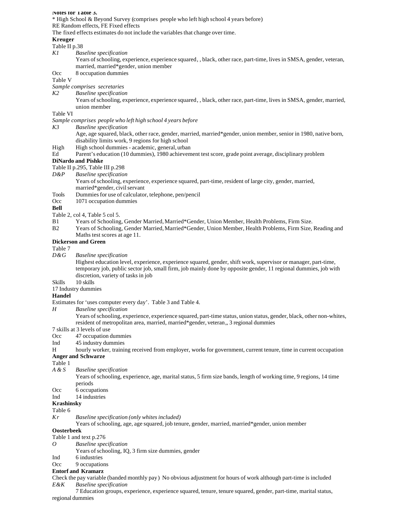#### **Notes for Table 3.**

\* High School & Beyond Survey (comprises people who left high school 4 years before)

RE Random effects, FE Fixed effects

The fixed effects estimates do not include the variables that change over time.

#### **Kreuger**

#### Table II p.38

- *K1 Baseline specification*
	- Years of schooling, experience, experience squared, , black, other race, part-time, lives in SMSA, gender, veteran, married, married\*gender, union member
- Occ 8 occupation dummies

#### Table V

- *Sample comprises secretaries*
- *K2 Baseline specification*
	- Years of schooling, experience, experience squared, , black, other race, part-time, lives in SMSA, gender, married, union member

### Table VI

- *Sample comprises people who left high school 4 years before*
- *K3 Baseline specification*
	- Age, age squared, black, other race, gender, married, married\*gender, union member, senior in 1980, native born, disability limits work, 9 regions for high school
- High High school dummies academic, general, urban
- Ed Parent's education (10 dummies), 1980 achievement test score, grade point average, disciplinary problem

#### **DiNardo and Pishke**

- Table II p.295, Table III p.298
- *D&P Baseline specification*
	- Years of schooling, experience, experience squared, part-time, resident of large city, gender, married, married\*gender, civil servant
- Tools Dummies for use of calculator, telephone, pen/pencil
- Occ 1071 occupation dummies

#### **Bell**

Table 2, col 4, Table 5 col 5.

- B1 Years of Schooling, Gender Married, Married\*Gender, Union Member, Health Problems, Firm Size.
- B2 Years of Schooling, Gender Married, Married\*Gender, Union Member, Health Problems, Firm Size, Reading and Maths test scores at age 11.

#### **Dickerson and Green**

# Table 7<br>D&G

*D&G Baseline specification*

Highest education level, experience, experience squared, gender, shift work, supervisor or manager, part-time, temporary job, public sector job, small firm, job mainly done by opposite gender, 11 regional dummies, job with discretion, variety of tasks in job

## Skills 10 skills

17 Industry dummies

### **Handel**

Estimates for 'uses computer every day'. Table 3 and Table 4.

*H Baseline specification*

Years of schooling, experience, experience squared, part-time status, union status, gender, black, other non-whites, resident of metropolitan area, married, married\*gender, veteran,, 3 regional dummies

#### 7 skills at 3 levels of use

- Occ 47 occupation dummies
- Ind 45 industry dummies
- H hourly worker, training received from employer, works for government, current tenure, time in current occupation **Anger and Schwarze**

#### Table 1

- *A & S Baseline specification*
	- Years of schooling, experience, age, marital status, 5 firm size bands, length of working time, 9 regions, 14 time periods
- Occ 6 occupations
- Ind 14 industries

## **Krashinsky**

Table 6

*Kr Baseline specification (only whites included)*

Years of schooling, age, age squared, job tenure, gender, married, married\*gender, union member

#### **Oosterbeek**

- Table 1 and text p.276
- *O Baseline specification*
	- Years of schooling, IQ, 3 firm size dummies, gender
- Ind 6 industries

### Occ 9 occupations

#### **Entorf and Kramarz**

Check the pay variable (banded monthly pay) No obvious adjustment for hours of work although part-time is included *E&K Baseline specification*

7 Education groups, experience, experience squared, tenure, tenure squared, gender, part-time, marital status, regional dummies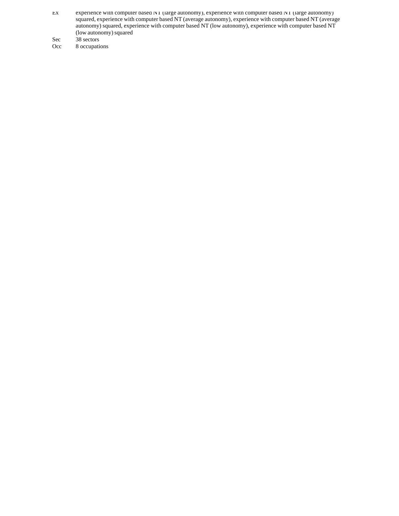- Ex experience with computer based NT (large autonomy), experience with computer based NT (large autonomy) squared, experience with computer based NT (average autonomy), experience with computer based NT (average autonomy) squared, experience with computer based NT (low autonomy), experience with computer based NT (low autonomy) squared
- Sec 38 sectors<br>Occ 8 occupati
- 8 occupations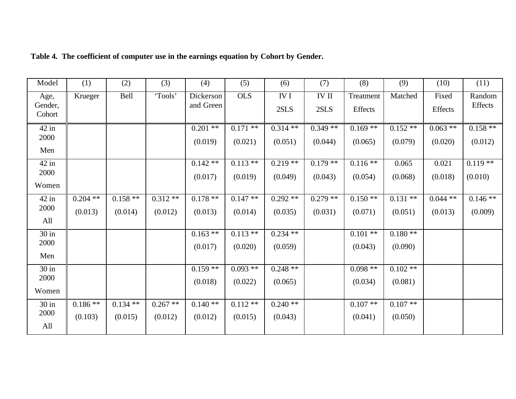| Model                     | (1)        | (2)        | (3)       | (4)                    | (5)        | (6)                | (7)                  | (8)                  | (9)       | (10)             | (11)              |
|---------------------------|------------|------------|-----------|------------------------|------------|--------------------|----------------------|----------------------|-----------|------------------|-------------------|
| Age,<br>Gender,<br>Cohort | Krueger    | Bell       | 'Tools'   | Dickerson<br>and Green | <b>OLS</b> | $\rm IV$ I<br>2SLS | <b>IV II</b><br>2SLS | Treatment<br>Effects | Matched   | Fixed<br>Effects | Random<br>Effects |
| $42$ in<br>2000           |            |            |           | $0.201$ **             | $0.171$ ** | $0.314**$          | $0.349**$            | $0.169**$            | $0.152**$ | $0.063$ **       | $0.158**$         |
| Men                       |            |            |           | (0.019)                | (0.021)    | (0.051)            | (0.044)              | (0.065)              | (0.079)   | (0.020)          | (0.012)           |
| $42$ in                   |            |            |           | $0.142**$              | $0.113**$  | $0.219**$          | $0.179**$            | $0.116**$            | 0.065     | 0.021            | $0.119**$         |
| 2000                      |            |            |           | (0.017)                | (0.019)    | (0.049)            | (0.043)              | (0.054)              | (0.068)   | (0.018)          | (0.010)           |
| Women                     |            |            |           |                        |            |                    |                      |                      |           |                  |                   |
| $42$ in                   | $0.204$ ** | $0.158**$  | $0.312**$ | $0.178**$              | $0.147**$  | $0.292**$          | $0.279**$            | $0.150**$            | $0.131**$ | $0.044**$        | $0.146**$         |
| 2000                      | (0.013)    | (0.014)    | (0.012)   | (0.013)                | (0.014)    | (0.035)            | (0.031)              | (0.071)              | (0.051)   | (0.013)          | (0.009)           |
| All                       |            |            |           |                        |            |                    |                      |                      |           |                  |                   |
| $30$ in                   |            |            |           | $0.163**$              | $0.113**$  | $0.234$ **         |                      | $0.101**$            | $0.180**$ |                  |                   |
| 2000                      |            |            |           | (0.017)                | (0.020)    | (0.059)            |                      | (0.043)              | (0.090)   |                  |                   |
| Men                       |            |            |           |                        |            |                    |                      |                      |           |                  |                   |
| $30$ in                   |            |            |           | $0.159**$              | $0.093**$  | $0.248**$          |                      | $0.098**$            | $0.102**$ |                  |                   |
| 2000                      |            |            |           | (0.018)                | (0.022)    | (0.065)            |                      | (0.034)              | (0.081)   |                  |                   |
| Women                     |            |            |           |                        |            |                    |                      |                      |           |                  |                   |
| $30$ in                   | $0.186**$  | $0.134$ ** | $0.267**$ | $0.140**$              | $0.112**$  | $0.240**$          |                      | $0.107**$            | $0.107**$ |                  |                   |
| 2000                      | (0.103)    | (0.015)    | (0.012)   | (0.012)                | (0.015)    | (0.043)            |                      | (0.041)              | (0.050)   |                  |                   |
| All                       |            |            |           |                        |            |                    |                      |                      |           |                  |                   |

**Table 4. The coefficient of computer use in the earnings equation by Cohort by Gender.**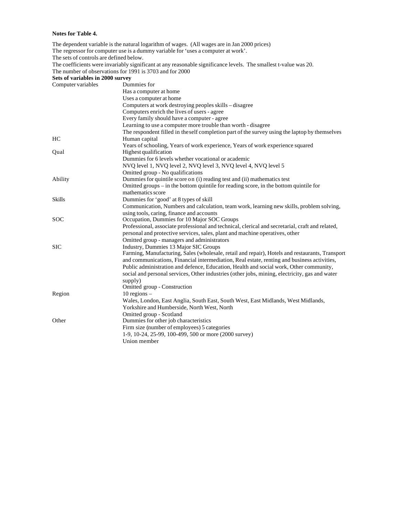#### **Notes for Table 4.**

Region 10 regions –

The dependent variable is the natural logarithm of wages. (All wages are in Jan 2000 prices) The regressor for computer use is a dummy variable for 'uses a computer at work'. The sets of controls are defined below. The coefficients were invariably significant at any reasonable significance levels. The smallest t-value was 20. The number of observations for 1991 is 3703 and for 2000 **Sets of variables in 2000 survey** Computer variables Dummies for Has a computer at home Uses a computer at home Computers at work destroying peoples skills – disagree Computers enrich the lives of users - agree Every family should have a computer - agree Learning to use a computer more trouble than worth - disagree The respondent filled in the self completion part of the survey using the laptop by themselves HC Human capital Years of schooling, Years of work experience, Years of work experience squared Qual Highest qualification Dummies for 6 levels whether vocational or academic NVQ level 1, NVQ level 2, NVQ level 3, NVQ level 4, NVQ level 5 Omitted group - No qualifications Ability Dummies for quintile score on (i) reading test and (ii) mathematics test Omitted groups – in the bottom quintile for reading score, in the bottom quintile for mathematics score Skills Dummies for 'good' at 8 types of skill Communication, Numbers and calculation, team work, learning new skills, problem solving, using tools, caring, finance and accounts SOC Occupation, Dummies for 10 Major SOC Groups Professional, associate professional and technical, clerical and secretarial, craft and related, personal and protective services, sales, plant and machine operatives, other Omitted group - managers and administrators SIC Industry, Dummies 13 Major SIC Groups Farming, Manufacturing, Sales (wholesale, retail and repair), Hotels and restaurants, Transport and communications, Financial intermediation, Real estate, renting and business activities, Public administration and defence, Education, Health and social work, Other community, social and personal services, Other industries (other jobs, mining, electricity, gas and water supply) Omitted group - Construction

Yorkshire and Humberside, North West, North

Firm size (number of employees) 5 categories

1-9, 10-24, 25-99, 100-499, 500 or more (2000 survey)

Omitted group - Scotland

Other Dummies for other job characteristics

Union member

Wales, London, East Anglia, South East, South West, East Midlands, West Midlands,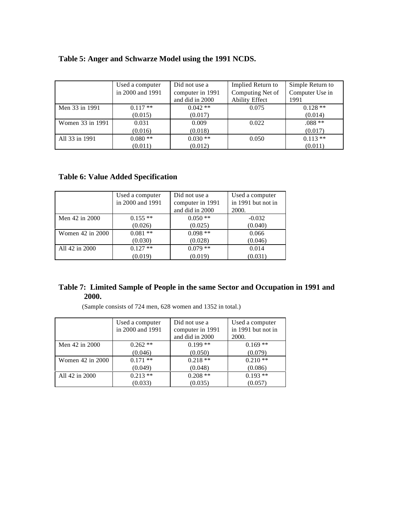| Table 5: Anger and Schwarze Model using the 1991 NCDS. |  |  |
|--------------------------------------------------------|--|--|
|                                                        |  |  |

|                  | Used a computer  | Did not use a    | Implied Return to     | Simple Return to |
|------------------|------------------|------------------|-----------------------|------------------|
|                  | in 2000 and 1991 | computer in 1991 | Computing Net of      | Computer Use in  |
|                  |                  | and did in 2000  | <b>Ability Effect</b> | 1991             |
| Men 33 in 1991   | $0.117**$        | $0.042**$        | 0.075                 | $0.128**$        |
|                  | (0.015)          | (0.017)          |                       | (0.014)          |
| Women 33 in 1991 | 0.031            | 0.009            | 0.022                 | $.088**$         |
|                  | (0.016)          | (0.018)          |                       | (0.017)          |
| All 33 in 1991   | $0.080**$        | $0.030**$        | 0.050                 | $0.113**$        |
|                  | (0.011)          | (0.012)          |                       | (0.011)          |

# **Table 6: Value Added Specification**

|                  | Used a computer<br>in 2000 and 1991 | Did not use a<br>computer in 1991<br>and did in 2000 | Used a computer<br>in 1991 but not in<br>2000. |
|------------------|-------------------------------------|------------------------------------------------------|------------------------------------------------|
| Men 42 in 2000   | $0.155**$                           | $0.050**$                                            | $-0.032$                                       |
|                  | (0.026)                             | (0.025)                                              | (0.040)                                        |
| Women 42 in 2000 | $0.081**$                           | $0.098**$                                            | 0.066                                          |
|                  | (0.030)                             | (0.028)                                              | (0.046)                                        |
| All 42 in 2000   | $0.127**$                           | $0.079**$                                            | 0.014                                          |
|                  | (0.019)                             | (0.019)                                              | (0.031)                                        |

## **Table 7: Limited Sample of People in the same Sector and Occupation in 1991 and 2000.**

|                  | Used a computer  | Did not use a    | Used a computer    |
|------------------|------------------|------------------|--------------------|
|                  | in 2000 and 1991 | computer in 1991 | in 1991 but not in |
|                  |                  | and did in 2000  | 2000.              |
| Men 42 in 2000   | $0.262**$        | $0.199**$        | $0.169**$          |
|                  | (0.046)          | (0.050)          | (0.079)            |
| Women 42 in 2000 | $0.171$ **       | $0.218**$        | $0.210**$          |
|                  | (0.049)          | (0.048)          | (0.086)            |
| All 42 in 2000   | $0.213**$        | $0.208**$        | $0.193$ **         |
|                  | (0.033)          | (0.035)          | (0.057)            |

(Sample consists of 724 men, 628 women and 1352 in total.)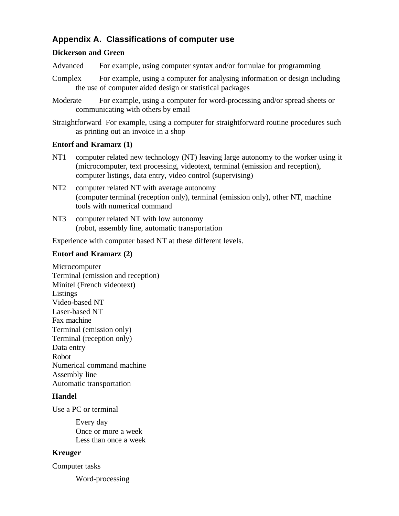# **Appendix A. Classifications of computer use**

## **Dickerson and Green**

- Advanced For example, using computer syntax and/or formulae for programming
- Complex For example, using a computer for analysing information or design including the use of computer aided design or statistical packages
- Moderate For example, using a computer for word-processing and/or spread sheets or communicating with others by email

Straightforward For example, using a computer for straightforward routine procedures such as printing out an invoice in a shop

## **Entorf and Kramarz (1)**

- NT1 computer related new technology (NT) leaving large autonomy to the worker using it (microcomputer, text processing, videotext, terminal (emission and reception), computer listings, data entry, video control (supervising)
- NT2 computer related NT with average autonomy (computer terminal (reception only), terminal (emission only), other NT, machine tools with numerical command
- NT3 computer related NT with low autonomy (robot, assembly line, automatic transportation

Experience with computer based NT at these different levels.

## **Entorf and Kramarz (2)**

**Microcomputer** Terminal (emission and reception) Minitel (French videotext) **Listings** Video-based NT Laser-based NT Fax machine Terminal (emission only) Terminal (reception only) Data entry Robot Numerical command machine Assembly line Automatic transportation

## **Handel**

Use a PC or terminal

Every day Once or more a week Less than once a week

## **Kreuger**

Computer tasks

Word-processing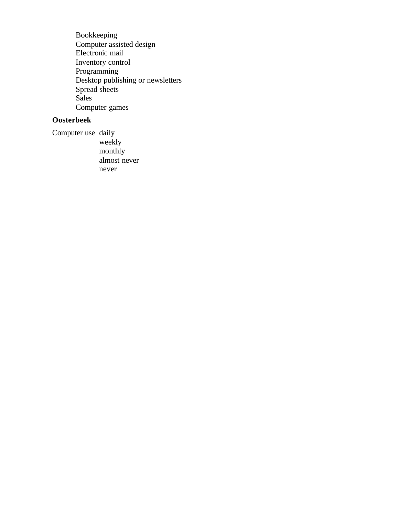Bookkeeping Computer assisted design Electronic mail Inventory control Programming Desktop publishing or newsletters Spread sheets Sales Computer games

# **Oosterbeek**

Computer use daily weekly monthly almost never never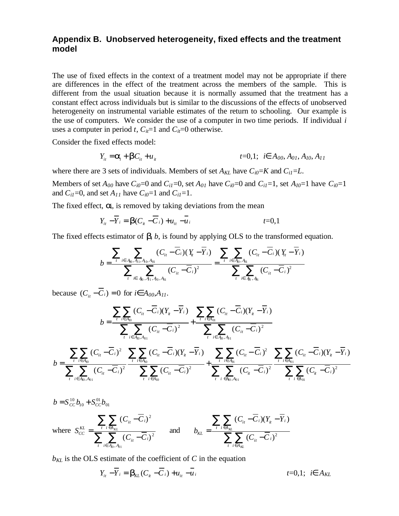## **Appendix B. Unobserved heterogeneity, fixed effects and the treatment model**

The use of fixed effects in the context of a treatment model may not be appropriate if there are differences in the effect of the treatment across the members of the sample. This is different from the usual situation because it is normally assumed that the treatment has a constant effect across individuals but is similar to the discussions of the effects of unobserved heterogeneity on instrumental variable estimates of the return to schooling. Our example is the use of computers. We consider the use of a computer in two time periods. If individual *i* uses a computer in period *t*,  $C_i = 1$  and  $C_i = 0$  otherwise.

Consider the fixed effects model:

$$
Y_{it} = \mathbf{a}_i + \mathbf{b}C_{it} + u_{it} \qquad \qquad t = 0,1; \quad i \in A_{00}, A_{01}, A_{10}, A_{11}
$$

where there are 3 sets of individuals. Members of set  $A_{KL}$  have  $C_{i0}=K$  and  $C_{i1}=L$ .

Members of set  $A_{00}$  have  $C_{i0}=0$  and  $C_{i1}=0$ , set  $A_{01}$  have  $C_{i0}=0$  and  $C_{i1}=1$ , set  $A_{10}=1$  have  $C_{i0}=1$ and  $C_{i1}=0$ , and set  $A_{11}$  have  $C_{i0}=1$  and  $C_{i1}=1$ .

The fixed effect,  $\mathbf{a}$ , is removed by taking deviations from the mean

$$
Y_{ii} - \overline{Y}_i = \mathbf{b}(C_{ii} - \overline{C}_i) + u_{ii} - \overline{u}_i
$$

The fixed effects estimator of  $\mathbf{b}$ ,  $\mathbf{b}$ , is found by applying OLS to the transformed equation.

$$
b = \frac{\sum_{t} \sum_{i \in A_0, A_1, A_0, A_0} (C_{it} - \overline{C}_i)(Y_i - \overline{Y}_i)}{\sum_{t} \sum_{i \in A_0, A_1, A_0, A_0} (C_{it} - \overline{C}_i)^2} = \frac{\sum_{t} \sum_{i \in A_0, A_0} (C_{it} - \overline{C}_i)(Y_i - \overline{Y}_i)}{\sum_{t} \sum_{i \in A_0, A_0} (C_{it} - \overline{C}_i)^2}
$$

because  $(C_{ii} - \overline{C}_i) = 0$  for  $i\hat{\textbf{I}}$   $A_{00}, A_{11}$ .

 $h = S^{10} h + S^{01} h$ 

$$
b = \frac{\displaystyle \sum_i\sum_{i\in A_{0i}}(C_{ii}-\overline{C}_i)(Y_{ii}-\overline{Y}_i)}{\displaystyle \sum_i\sum_{i\in A_{0i}}(C_{ii}-\overline{C}_i)^2} + \frac{\displaystyle \sum_{i\in A_{0i}}(C_{ii}-\overline{C}_i)(Y_{ii}-\overline{Y}_i)}{\displaystyle \sum_i\sum_{i\in A_{0i}, A_{01}}(C_{ii}-\overline{C}_i)^2} \\ = \frac{\displaystyle \sum_i\sum_{i\in A_{10}}(C_{ii}-\overline{C}_i)^2}{\displaystyle \sum_i\sum_{i\in A_{10}}(C_{ii}-\overline{C}_i)(Y_{ii}-\overline{Y}_i)} + \frac{\displaystyle \sum_i\sum_{i\in A_{0i}, A_{01}}(C_{ii}-\overline{C}_i)^2}{\displaystyle \sum_i\sum_{i\in A_{01}}(C_{ii}-\overline{C}_i)^2} \nonumber \\ = \frac{\displaystyle \sum_i\sum_{i\in A_{10}}(C_{ii}-\overline{C}_i)^2}{\displaystyle \sum_i\sum_{i\in A_{10}}(C_{ii}-\overline{C}_i)^2} + \frac{\displaystyle \sum_{i\in A_{01}}(C_{ii}-\overline{C}_i)^2}{\displaystyle \sum_i\sum_{i\in A_{01}}(C_{ii}-\overline{C}_i)^2} \nonumber \\ = \frac{\displaystyle \sum_{i\in A_{10}}(C_{ii}-\overline{C}_i)^2}{\displaystyle \sum_{i\in A_{10}}(C_{ii}-\overline{C}_i)^2} + \frac{\displaystyle \sum_{i\in A_{10}}(C_{ii}-\overline{C}_i)^2}{\displaystyle \sum_{i\in A_{10}}(C_{ii}-\overline{C}_i)^2} \nonumber \\ = \frac{\displaystyle \sum_{i\in A_{10}}(C_{ii}-\overline{C}_i)^2}{\displaystyle \sum_{i\in A_{10}}(C_{ii}-\overline{C}_i)^2} + \frac{\displaystyle \sum_{i\in A_{10}}(C_{ii}-\overline{C}_i)^2}{\displaystyle \sum_{i\in A_{10}}(C_{ii}-\overline{C}_i)^2} \nonumber
$$

$$
b = \sum_{t} \sum_{i \in A_{0}, A_{01}}^{t} \sum_{i \in A_{10}, A_{01}}^{t} (C_{it} - \overline{C}_{i})^{2} \sum_{t}^{t} \sum_{i \in A_{10}}^{t} (C_{it} - \overline{C}_{i})^{2} + \sum_{t} \sum_{i \in A_{0}, A_{01}}^{t} (C_{it} - \overline{C}_{i})^{2} \sum_{t}^{t} \sum_{i \in A_{01}}^{t} (C_{it} - \overline{C}_{i})^{2}
$$

where 
$$
S_{CC}^{KL} = \frac{\sum_{i} \sum_{i \in A_{KL}} (C_{ii} - \overline{C}_{i})^2}{\sum_{i} \sum_{i \in A_{0}, A_{01}} (C_{ii} - \overline{C}_{i})^2}
$$
 and  $b_{KL} = \frac{\sum_{i} \sum_{i \in A_{KL}} (C_{ii} - \overline{C}_{i}) (Y_{ii} - \overline{Y}_{i})}{\sum_{i} \sum_{i \in A_{KL}} (C_{ii} - \overline{C}_{i})^2}$ 

 $b_{KL}$  is the OLS estimate of the coefficient of *C* in the equation

$$
Y_{ii} - \overline{Y}_i = \mathbf{b}_{KL}(C_{ii} - \overline{C}_i) + u_{ii} - \overline{u}_i
$$
\n
$$
t = 0, 1; \quad i \in A_{KL}
$$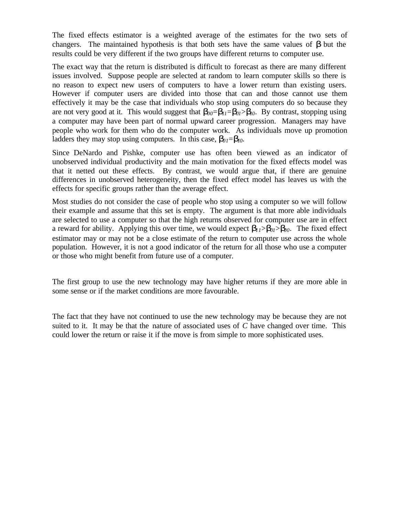The fixed effects estimator is a weighted average of the estimates for the two sets of changers. The maintained hypothesis is that both sets have the same values of *b* but the results could be very different if the two groups have different returns to computer use.

The exact way that the return is distributed is difficult to forecast as there are many different issues involved. Suppose people are selected at random to learn computer skills so there is no reason to expect new users of computers to have a lower return than existing users. However if computer users are divided into those that can and those cannot use them effectively it may be the case that individuals who stop using computers do so because they are not very good at it. This would suggest that  $\mathbf{b}_{00} = \mathbf{b}_{11} = \mathbf{b}_{01} > \mathbf{b}_{00}$ . By contrast, stopping using a computer may have been part of normal upward career progression. Managers may have people who work for them who do the computer work. As individuals move up promotion ladders they may stop using computers. In this case,  $\mathbf{b}_{0} = \mathbf{b}_{10}$ .

Since DeNardo and Pishke, computer use has often been viewed as an indicator of unobserved individual productivity and the main motivation for the fixed effects model was that it netted out these effects. By contrast, we would argue that, if there are genuine differences in unobserved heterogeneity, then the fixed effect model has leaves us with the effects for specific groups rather than the average effect.

Most studies do not consider the case of people who stop using a computer so we will follow their example and assume that this set is empty. The argument is that more able individuals are selected to use a computer so that the high returns observed for computer use are in effect a reward for ability. Applying this over time, we would expect  $\mathbf{b}_1 \geq \mathbf{b}_0 \geq \mathbf{b}_0$ . The fixed effect estimator may or may not be a close estimate of the return to computer use across the whole population. However, it is not a good indicator of the return for all those who use a computer or those who might benefit from future use of a computer.

The first group to use the new technology may have higher returns if they are more able in some sense or if the market conditions are more favourable.

The fact that they have not continued to use the new technology may be because they are not suited to it. It may be that the nature of associated uses of *C* have changed over time. This could lower the return or raise it if the move is from simple to more sophisticated uses.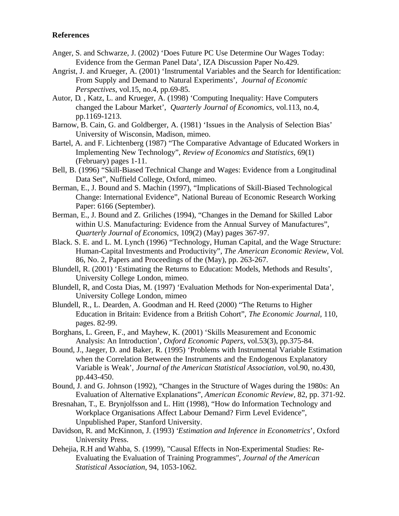## **References**

- Anger, S. and Schwarze, J. (2002) 'Does Future PC Use Determine Our Wages Today: Evidence from the German Panel Data', IZA Discussion Paper No.429.
- Angrist, J. and Krueger, A. (2001) 'Instrumental Variables and the Search for Identification: From Supply and Demand to Natural Experiments'*, Journal of Economic Perspectives*, vol.15, no.4, pp.69-85.
- Autor, D. , Katz, L. and Krueger, A. (1998) 'Computing Inequality: Have Computers changed the Labour Market', *Quarterly Journal of Economics*, vol.113, no.4, pp.1169-1213.
- Barnow, B. Cain, G. and Goldberger, A. (1981) 'Issues in the Analysis of Selection Bias' University of Wisconsin, Madison, mimeo.
- Bartel, A. and F. Lichtenberg (1987) "The Comparative Advantage of Educated Workers in Implementing New Technology", *Review of Economics and Statistics*, 69(1) (February) pages 1-11.
- Bell, B. (1996) "Skill-Biased Technical Change and Wages: Evidence from a Longitudinal Data Set", Nuffield College, Oxford, mimeo.
- Berman, E., J. Bound and S. Machin (1997), "Implications of Skill-Biased Technological Change: International Evidence", National Bureau of Economic Research Working Paper: 6166 (September).
- Berman, E., J. Bound and Z. Griliches (1994), "Changes in the Demand for Skilled Labor within U.S. Manufacturing: Evidence from the Annual Survey of Manufactures", *Quarterly Journal of Economics*, 109(2) (May) pages 367-97.
- Black. S. E. and L. M. Lynch (1996) "Technology, Human Capital, and the Wage Structure: Human-Capital Investments and Productivity", *The American Economic Review*, Vol. 86, No. 2, Papers and Proceedings of the (May), pp. 263-267.
- Blundell, R. (2001) 'Estimating the Returns to Education: Models, Methods and Results', University College London, mimeo.
- Blundell, R, and Costa Dias, M. (1997) 'Evaluation Methods for Non-experimental Data', University College London, mimeo
- Blundell, R., L. Dearden, A. Goodman and H. Reed (2000) "The Returns to Higher Education in Britain: Evidence from a British Cohort", *The Economic Journal*, 110, pages. 82-99.
- Borghans, L. Green, F., and Mayhew, K. (2001) 'Skills Measurement and Economic Analysis: An Introduction', *Oxford Economic Papers*, vol.53(3), pp.375-84.
- Bound, J., Jaeger, D. and Baker, R. (1995) 'Problems with Instrumental Variable Estimation when the Correlation Between the Instruments and the Endogenous Explanatory Variable is Weak', *Journal of the American Statistical Association*, vol.90, no.430, pp.443-450.
- Bound, J. and G. Johnson (1992), "Changes in the Structure of Wages during the 1980s: An Evaluation of Alternative Explanations", *American Economic Review*, 82, pp. 371-92.
- Bresnahan, T., E. Brynjolfsson and L. Hitt (1998), "How do Information Technology and Workplace Organisations Affect Labour Demand? Firm Level Evidence", Unpublished Paper, Stanford University.
- Davidson, R. and McKinnon, J. (1993) '*Estimation and Inference in Econometrics*', Oxford University Press.
- Dehejia, R.H and Wahba, S. (1999), "Causal Effects in Non-Experimental Studies: Re-Evaluating the Evaluation of Training Programmes*", Journal of the American Statistical Association*, 94, 1053-1062.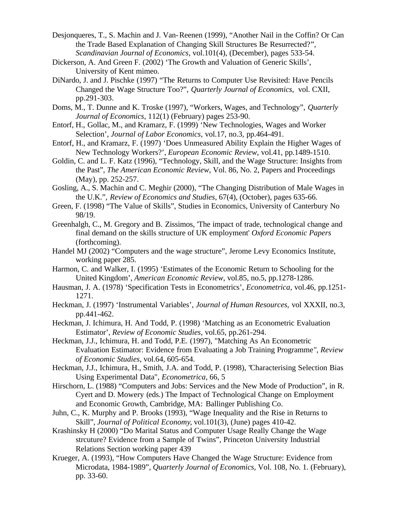- Desjonqueres, T., S. Machin and J. Van-Reenen (1999), "Another Nail in the Coffin? Or Can the Trade Based Explanation of Changing Skill Structures Be Resurrected?", *Scandinavian Journal of Economics*, vol.101(4), (December), pages 533-54.
- Dickerson, A. And Green F. (2002) 'The Growth and Valuation of Generic Skills', University of Kent mimeo.
- DiNardo, J. and J. Pischke (1997) "The Returns to Computer Use Revisited: Have Pencils Changed the Wage Structure Too?", *Quarterly Journal of Economics*, vol. CXII, pp.291-303.
- Doms, M., T. Dunne and K. Troske (1997), "Workers, Wages, and Technology", *Quarterly Journal of Economics*, 112(1) (February) pages 253-90.
- Entorf, H., Gollac, M., and Kramarz, F. (1999) 'New Technologies, Wages and Worker Selection', *Journal of Labor Economics*, vol.17, no.3, pp.464-491.
- Entorf, H., and Kramarz, F. (1997) 'Does Unmeasured Ability Explain the Higher Wages of New Technology Workers?', *European Economic Review*, vol.41, pp.1489-1510.
- Goldin, C. and L. F. Katz (1996), "Technology, Skill, and the Wage Structure: Insights from the Past", *The American Economic Review*, Vol. 86, No. 2, Papers and Proceedings (May), pp. 252-257.
- Gosling, A., S. Machin and C. Meghir (2000), "The Changing Distribution of Male Wages in the U.K.", *Review of Economics and Studies*, 67(4), (October), pages 635-66.
- Green, F. (1998) "The Value of Skills", Studies in Economics, University of Canterbury No 98/19.
- Greenhalgh, C., M. Gregory and B. Zissimos, 'The impact of trade, technological change and final demand on the skills structure of UK employment' *Oxford Economic Papers* (forthcoming).
- Handel MJ (2002) "Computers and the wage structure", Jerome Levy Economics Institute, working paper 285.
- Harmon, C. and Walker, I. (1995) 'Estimates of the Economic Return to Schooling for the United Kingdom', *American Economic Review*, vol.85, no.5, pp.1278-1286.
- Hausman, J. A. (1978) 'Specification Tests in Econometrics', *Econometrica*, vol.46, pp.1251- 1271.
- Heckman, J. (1997) 'Instrumental Variables', *Journal of Human Resources*, vol XXXII, no.3, pp.441-462.
- Heckman, J. Ichimura, H. And Todd, P. (1998) 'Matching as an Econometric Evaluation Estimator', *Review of Economic Studies*, vol.65, pp.261-294.
- Heckman, J.J., Ichimura, H. and Todd, P.E. (1997), "Matching As An Econometric Evaluation Estimator: Evidence from Evaluating a Job Training Programme*", Review of Economic Studies*, vol.64, 605-654.
- Heckman, J.J., Ichimura, H., Smith, J.A. and Todd, P. (1998), "Characterising Selection Bias Using Experimental Data", *Econometrica*, 66, 5
- Hirschorn, L. (1988) "Computers and Jobs: Services and the New Mode of Production", in R. Cyert and D. Mowery (eds.) The Impact of Technological Change on Employment and Economic Growth, Cambridge, MA: Ballinger Publishing Co.
- Juhn, C., K. Murphy and P. Brooks (1993), "Wage Inequality and the Rise in Returns to Skill", *Journal of Political Economy*, vol.101(3), (June) pages 410-42.
- Krashinsky H (2000) "Do Marital Status and Computer Usage Really Change the Wage strcuture? Evidence from a Sample of Twins", Princeton University Industrial Relations Section working paper 439
- Krueger, A. (1993), "How Computers Have Changed the Wage Structure: Evidence from Microdata, 1984-1989", *Quarterly Journal of Economics*, Vol. 108, No. 1. (February), pp. 33-60.